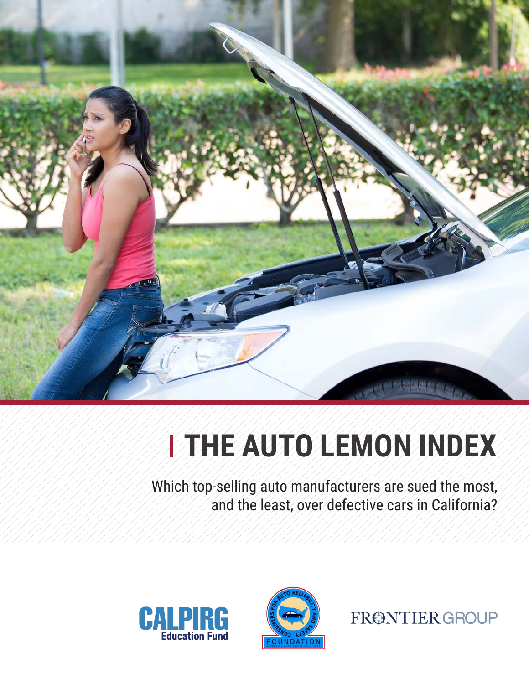

# **THE AUTO LEMON INDEX**

Which top-selling auto manufacturers are sued the most, and the least, over defective cars in California?





FRØNTIER GROUP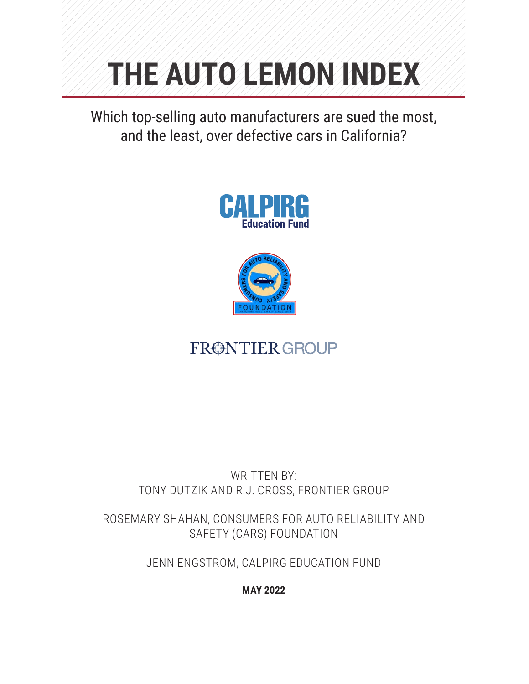# **THE AUTO LEMON INDEX**

Which top-selling auto manufacturers are sued the most, and the least, over defective cars in California?





# FRØNTIER GROUP

# WRITTEN BY: TONY DUTZIK AND R.J. CROSS, FRONTIER GROUP

ROSEMARY SHAHAN, CONSUMERS FOR AUTO RELIABILITY AND SAFETY (CARS) FOUNDATION

JENN ENGSTROM, CALPIRG EDUCATION FUND

**MAY 2022**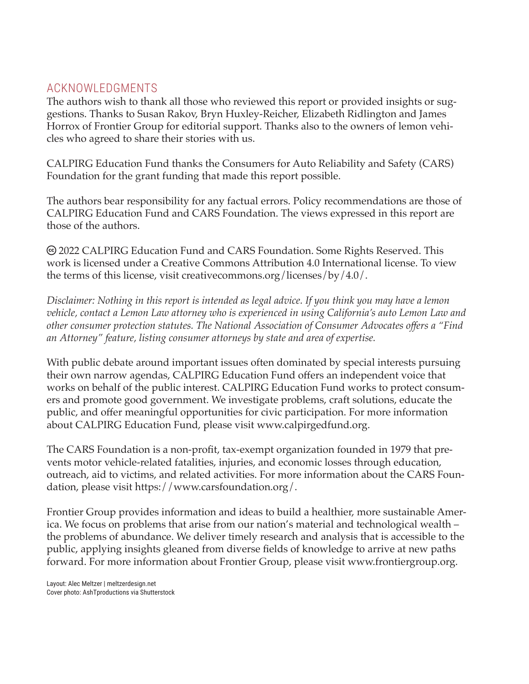## ACKNOWLEDGMENTS

The authors wish to thank all those who reviewed this report or provided insights or suggestions. Thanks to Susan Rakov, Bryn Huxley-Reicher, Elizabeth Ridlington and James Horrox of Frontier Group for editorial support. Thanks also to the owners of lemon vehicles who agreed to share their stories with us.

CALPIRG Education Fund thanks the Consumers for Auto Reliability and Safety (CARS) Foundation for the grant funding that made this report possible.

The authors bear responsibility for any factual errors. Policy recommendations are those of CALPIRG Education Fund and CARS Foundation. The views expressed in this report are those of the authors.

 2022 CALPIRG Education Fund and CARS Foundation. Some Rights Reserved. This work is licensed under a Creative Commons Attribution 4.0 International license. To view the terms of this license, visit creativecommons.org/licenses/by/4.0/.

*Disclaimer: Nothing in this report is intended as legal advice. If you think you may have a lemon vehicle, contact a Lemon Law attorney who is experienced in using California's auto Lemon Law and other consumer protection statutes. The National Association of Consumer Advocates offers a "Find an Attorney" feature, listing consumer attorneys by state and area of expertise.*

With public debate around important issues often dominated by special interests pursuing their own narrow agendas, CALPIRG Education Fund offers an independent voice that works on behalf of the public interest. CALPIRG Education Fund works to protect consumers and promote good government. We investigate problems, craft solutions, educate the public, and offer meaningful opportunities for civic participation. For more information about CALPIRG Education Fund, please visit www.calpirgedfund.org.

The CARS Foundation is a non-profit, tax-exempt organization founded in 1979 that prevents motor vehicle-related fatalities, injuries, and economic losses through education, outreach, aid to victims, and related activities. For more information about the CARS Foundation, please visit https://www.carsfoundation.org/.

Frontier Group provides information and ideas to build a healthier, more sustainable America. We focus on problems that arise from our nation's material and technological wealth – the problems of abundance. We deliver timely research and analysis that is accessible to the public, applying insights gleaned from diverse fields of knowledge to arrive at new paths forward. For more information about Frontier Group, please visit www.frontiergroup.org.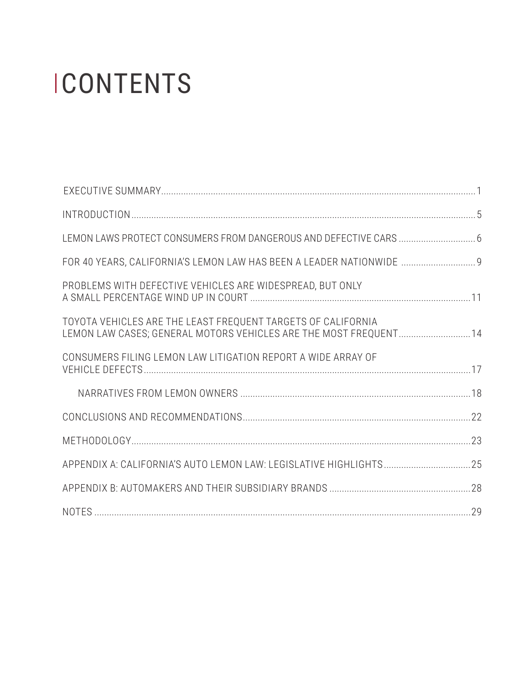# **ICONTENTS**

| LEMON LAWS PROTECT CONSUMERS FROM DANGEROUS AND DEFECTIVE CARS  6                                                                 |  |
|-----------------------------------------------------------------------------------------------------------------------------------|--|
| FOR 40 YEARS, CALIFORNIA'S LEMON LAW HAS BEEN A LEADER NATIONWIDE  9                                                              |  |
| PROBLEMS WITH DEFECTIVE VEHICLES ARE WIDESPREAD, BUT ONLY                                                                         |  |
| TOYOTA VEHICLES ARE THE LEAST FREQUENT TARGETS OF CALIFORNIA<br>LEMON LAW CASES; GENERAL MOTORS VEHICLES ARE THE MOST FREQUENT 14 |  |
| CONSUMERS FILING LEMON LAW LITIGATION REPORT A WIDE ARRAY OF                                                                      |  |
|                                                                                                                                   |  |
|                                                                                                                                   |  |
|                                                                                                                                   |  |
|                                                                                                                                   |  |
|                                                                                                                                   |  |
|                                                                                                                                   |  |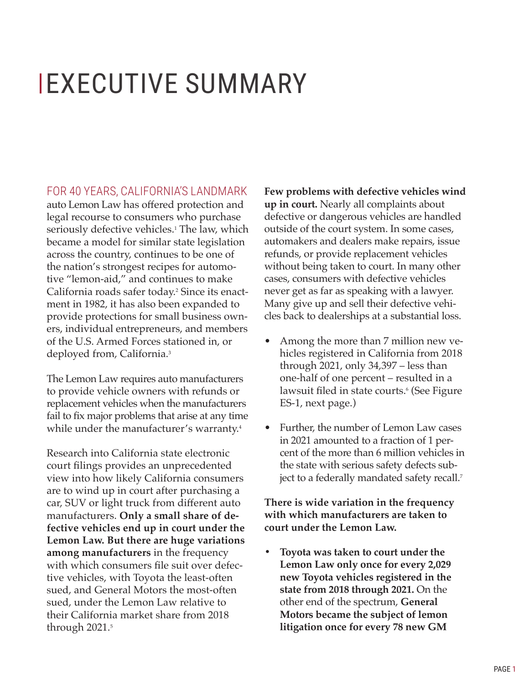# <span id="page-4-0"></span> EXECUTIVE SUMMARY

FOR 40 YEARS, CALIFORNIA'S LANDMARK

auto Lemon Law has offered protection and legal recourse to consumers who purchase seriously defective vehicles.<sup>1</sup> The law, which became a model for similar state legislation across the country, continues to be one of the nation's strongest recipes for automotive "lemon-aid," and continues to make California roads safer today.<sup>2</sup> Since its enactment in 1982, it has also been expanded to provide protections for small business owners, individual entrepreneurs, and members of the U.S. Armed Forces stationed in, or deployed from, California.3

The Lemon Law requires auto manufacturers to provide vehicle owners with refunds or replacement vehicles when the manufacturers fail to fix major problems that arise at any time while under the manufacturer's warranty.<sup>4</sup>

Research into California state electronic court filings provides an unprecedented view into how likely California consumers are to wind up in court after purchasing a car, SUV or light truck from different auto manufacturers. **Only a small share of defective vehicles end up in court under the Lemon Law. But there are huge variations among manufacturers** in the frequency with which consumers file suit over defective vehicles, with Toyota the least-often sued, and General Motors the most-often sued, under the Lemon Law relative to their California market share from 2018 through 2021.<sup>5</sup>

**Few problems with defective vehicles wind up in court.** Nearly all complaints about defective or dangerous vehicles are handled outside of the court system. In some cases, automakers and dealers make repairs, issue refunds, or provide replacement vehicles without being taken to court. In many other cases, consumers with defective vehicles never get as far as speaking with a lawyer. Many give up and sell their defective vehicles back to dealerships at a substantial loss.

- Among the more than 7 million new vehicles registered in California from 2018 through 2021, only 34,397 – less than one-half of one percent – resulted in a lawsuit filed in state courts.6 (See Figure ES-1, next page.)
- Further, the number of Lemon Law cases in 2021 amounted to a fraction of 1 percent of the more than 6 million vehicles in the state with serious safety defects subject to a federally mandated safety recall.<sup>7</sup>

**There is wide variation in the frequency with which manufacturers are taken to court under the Lemon Law.**

**• Toyota was taken to court under the Lemon Law only once for every 2,029 new Toyota vehicles registered in the state from 2018 through 2021.** On the other end of the spectrum, **General Motors became the subject of lemon litigation once for every 78 new GM**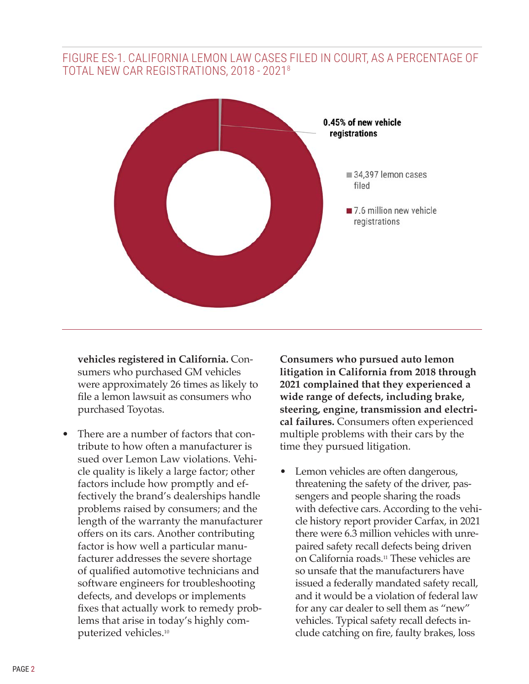## FIGURE ES-1. CALIFORNIA LEMON LAW CASES FILED IN COURT, AS A PERCENTAGE OF TOTAL NEW CAR REGISTRATIONS, 2018 - 20218



**vehicles registered in California.** Consumers who purchased GM vehicles were approximately 26 times as likely to file a lemon lawsuit as consumers who purchased Toyotas.

There are a number of factors that contribute to how often a manufacturer is sued over Lemon Law violations. Vehicle quality is likely a large factor; other factors include how promptly and effectively the brand's dealerships handle problems raised by consumers; and the length of the warranty the manufacturer offers on its cars. Another contributing factor is how well a particular manufacturer addresses the severe shortage of qualified automotive technicians and software engineers for troubleshooting defects, and develops or implements fixes that actually work to remedy problems that arise in today's highly computerized vehicles.<sup>10</sup>

**Consumers who pursued auto lemon litigation in California from 2018 through 2021 complained that they experienced a wide range of defects, including brake, steering, engine, transmission and electrical failures.** Consumers often experienced multiple problems with their cars by the time they pursued litigation.

Lemon vehicles are often dangerous, threatening the safety of the driver, passengers and people sharing the roads with defective cars. According to the vehicle history report provider Carfax, in 2021 there were 6.3 million vehicles with unrepaired safety recall defects being driven on California roads.11 These vehicles are so unsafe that the manufacturers have issued a federally mandated safety recall, and it would be a violation of federal law for any car dealer to sell them as "new" vehicles. Typical safety recall defects include catching on fire, faulty brakes, loss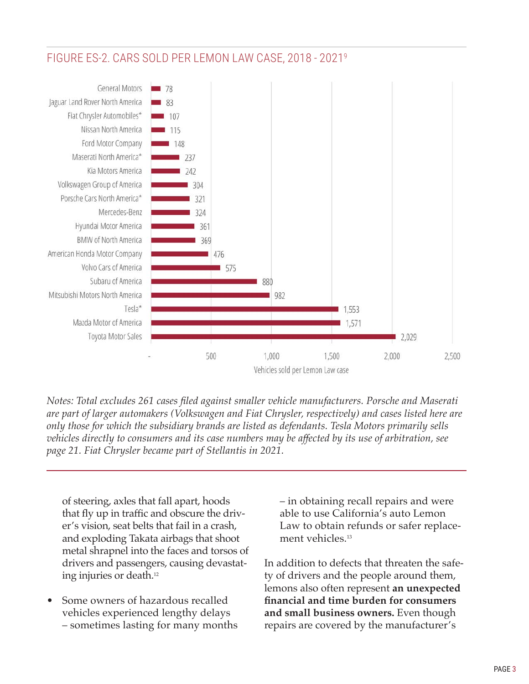

# FIGURE ES-2. CARS SOLD PER LEMON LAW CASE, 2018 - 20219

*Notes: Total excludes 261 cases filed against smaller vehicle manufacturers. Porsche and Maserati are part of larger automakers (Volkswagen and Fiat Chrysler, respectively) and cases listed here are only those for which the subsidiary brands are listed as defendants. Tesla Motors primarily sells vehicles directly to consumers and its case numbers may be affected by its use of arbitration, see page 21. Fiat Chrysler became part of Stellantis in 2021.* 

of steering, axles that fall apart, hoods that fly up in traffic and obscure the driver's vision, seat belts that fail in a crash, and exploding Takata airbags that shoot metal shrapnel into the faces and torsos of drivers and passengers, causing devastating injuries or death.<sup>12</sup>

• Some owners of hazardous recalled vehicles experienced lengthy delays – sometimes lasting for many months – in obtaining recall repairs and were able to use California's auto Lemon Law to obtain refunds or safer replacement vehicles.<sup>13</sup>

In addition to defects that threaten the safety of drivers and the people around them, lemons also often represent **an unexpected financial and time burden for consumers and small business owners.** Even though repairs are covered by the manufacturer's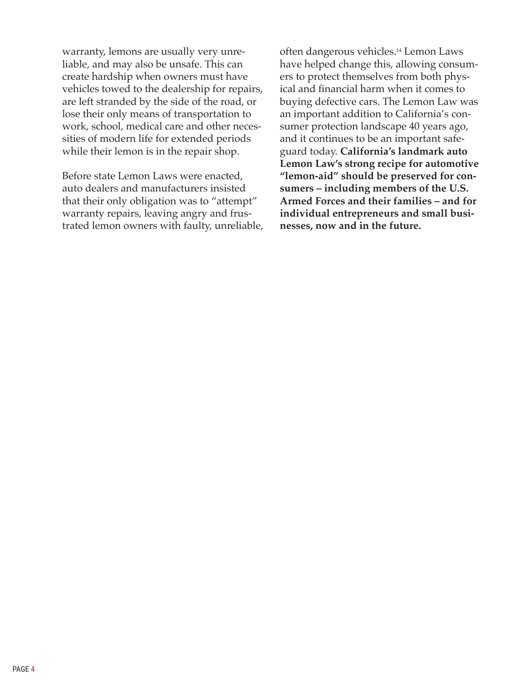warranty, lemons are usually very unreliable, and may also be unsafe. This can create hardship when owners must have vehicles towed to the dealership for repairs, are left stranded by the side of the road, or lose their only means of transportation to work, school, medical care and other necessities of modern life for extended periods while their lemon is in the repair shop.

Before state Lemon Laws were enacted, auto dealers and manufacturers insisted that their only obligation was to "attempt" warranty repairs, leaving angry and frustrated lemon owners with faulty, unreliable,

often dangerous vehicles.14 Lemon Laws have helped change this, allowing consumers to protect themselves from both physical and financial harm when it comes to buying defective cars. The Lemon Law was an important addition to California's consumer protection landscape 40 years ago, and it continues to be an important safeguard today. **California's landmark auto Lemon Law's strong recipe for automotive "lemon-aid" should be preserved for consumers – including members of the U.S. Armed Forces and their families – and for individual entrepreneurs and small businesses, now and in the future.**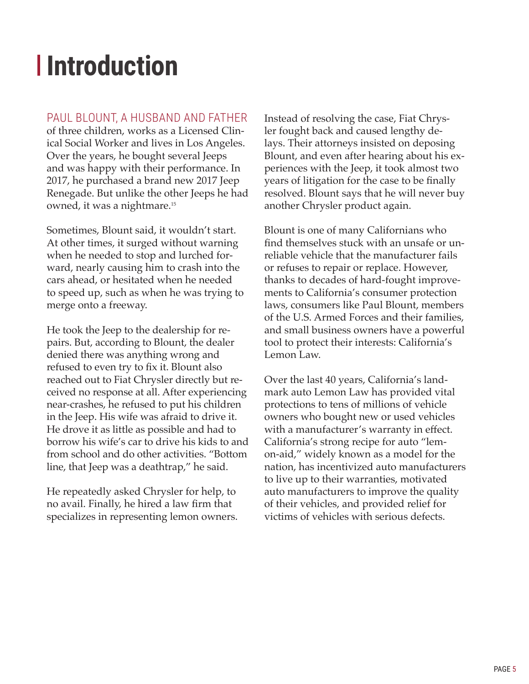# <span id="page-8-0"></span>**Introduction**

# PAUL BLOUNT, A HUSBAND AND FATHER

of three children, works as a Licensed Clinical Social Worker and lives in Los Angeles. Over the years, he bought several Jeeps and was happy with their performance. In 2017, he purchased a brand new 2017 Jeep Renegade. But unlike the other Jeeps he had owned, it was a nightmare.<sup>15</sup>

Sometimes, Blount said, it wouldn't start. At other times, it surged without warning when he needed to stop and lurched forward, nearly causing him to crash into the cars ahead, or hesitated when he needed to speed up, such as when he was trying to merge onto a freeway.

He took the Jeep to the dealership for repairs. But, according to Blount, the dealer denied there was anything wrong and refused to even try to fix it. Blount also reached out to Fiat Chrysler directly but received no response at all. After experiencing near-crashes, he refused to put his children in the Jeep. His wife was afraid to drive it. He drove it as little as possible and had to borrow his wife's car to drive his kids to and from school and do other activities. "Bottom line, that Jeep was a deathtrap," he said.

He repeatedly asked Chrysler for help, to no avail. Finally, he hired a law firm that specializes in representing lemon owners. Instead of resolving the case, Fiat Chrysler fought back and caused lengthy delays. Their attorneys insisted on deposing Blount, and even after hearing about his experiences with the Jeep, it took almost two years of litigation for the case to be finally resolved. Blount says that he will never buy another Chrysler product again.

Blount is one of many Californians who find themselves stuck with an unsafe or unreliable vehicle that the manufacturer fails or refuses to repair or replace. However, thanks to decades of hard-fought improvements to California's consumer protection laws, consumers like Paul Blount, members of the U.S. Armed Forces and their families, and small business owners have a powerful tool to protect their interests: California's Lemon Law.

Over the last 40 years, California's landmark auto Lemon Law has provided vital protections to tens of millions of vehicle owners who bought new or used vehicles with a manufacturer's warranty in effect. California's strong recipe for auto "lemon-aid," widely known as a model for the nation, has incentivized auto manufacturers to live up to their warranties, motivated auto manufacturers to improve the quality of their vehicles, and provided relief for victims of vehicles with serious defects.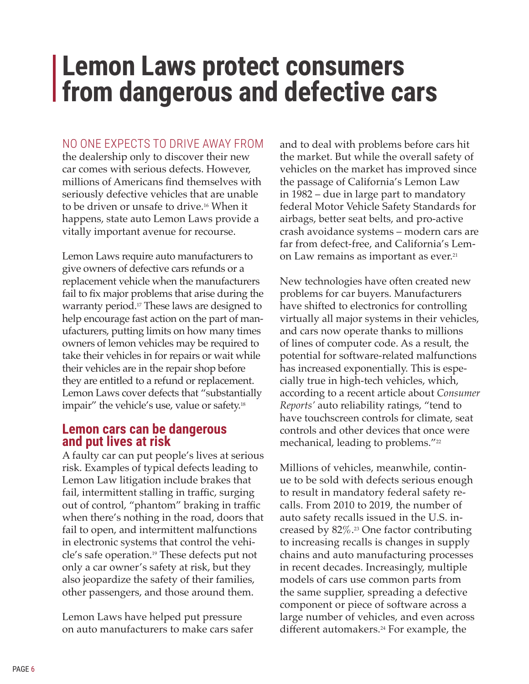# <span id="page-9-0"></span>**Lemon Laws protect consumers from dangerous and defective cars**

#### NO ONE EXPECTS TO DRIVE AWAY FROM

the dealership only to discover their new car comes with serious defects. However, millions of Americans find themselves with seriously defective vehicles that are unable to be driven or unsafe to drive.16 When it happens, state auto Lemon Laws provide a vitally important avenue for recourse.

Lemon Laws require auto manufacturers to give owners of defective cars refunds or a replacement vehicle when the manufacturers fail to fix major problems that arise during the warranty period.17 These laws are designed to help encourage fast action on the part of manufacturers, putting limits on how many times owners of lemon vehicles may be required to take their vehicles in for repairs or wait while their vehicles are in the repair shop before they are entitled to a refund or replacement. Lemon Laws cover defects that "substantially impair" the vehicle's use, value or safety.<sup>18</sup>

### **Lemon cars can be dangerous and put lives at risk**

A faulty car can put people's lives at serious risk. Examples of typical defects leading to Lemon Law litigation include brakes that fail, intermittent stalling in traffic, surging out of control, "phantom" braking in traffic when there's nothing in the road, doors that fail to open, and intermittent malfunctions in electronic systems that control the vehicle's safe operation.19 These defects put not only a car owner's safety at risk, but they also jeopardize the safety of their families, other passengers, and those around them.

Lemon Laws have helped put pressure on auto manufacturers to make cars safer and to deal with problems before cars hit the market. But while the overall safety of vehicles on the market has improved since the passage of California's Lemon Law in 1982 – due in large part to mandatory federal Motor Vehicle Safety Standards for airbags, better seat belts, and pro-active crash avoidance systems – modern cars are far from defect-free, and California's Lemon Law remains as important as ever.<sup>21</sup>

New technologies have often created new problems for car buyers. Manufacturers have shifted to electronics for controlling virtually all major systems in their vehicles, and cars now operate thanks to millions of lines of computer code. As a result, the potential for software-related malfunctions has increased exponentially. This is especially true in high-tech vehicles, which, according to a recent article about *Consumer Reports'* auto reliability ratings, "tend to have touchscreen controls for climate, seat controls and other devices that once were mechanical, leading to problems."22

Millions of vehicles, meanwhile, continue to be sold with defects serious enough to result in mandatory federal safety recalls. From 2010 to 2019, the number of auto safety recalls issued in the U.S. increased by 82%.23 One factor contributing to increasing recalls is changes in supply chains and auto manufacturing processes in recent decades. Increasingly, multiple models of cars use common parts from the same supplier, spreading a defective component or piece of software across a large number of vehicles, and even across different automakers.<sup>24</sup> For example, the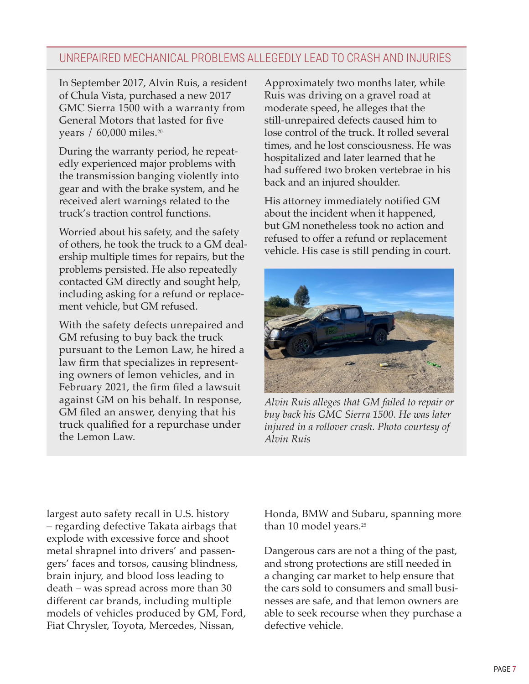# UNREPAIRED MECHANICAL PROBLEMS ALLEGEDLY LEAD TO CRASH AND INJURIES

In September 2017, Alvin Ruis, a resident of Chula Vista, purchased a new 2017 GMC Sierra 1500 with a warranty from General Motors that lasted for five years / 60,000 miles.<sup>20</sup>

During the warranty period, he repeatedly experienced major problems with the transmission banging violently into gear and with the brake system, and he received alert warnings related to the truck's traction control functions.

Worried about his safety, and the safety of others, he took the truck to a GM dealership multiple times for repairs, but the problems persisted. He also repeatedly contacted GM directly and sought help, including asking for a refund or replacement vehicle, but GM refused.

With the safety defects unrepaired and GM refusing to buy back the truck pursuant to the Lemon Law, he hired a law firm that specializes in representing owners of lemon vehicles, and in February 2021, the firm filed a lawsuit against GM on his behalf. In response, GM filed an answer, denying that his truck qualified for a repurchase under the Lemon Law.

Approximately two months later, while Ruis was driving on a gravel road at moderate speed, he alleges that the still-unrepaired defects caused him to lose control of the truck. It rolled several times, and he lost consciousness. He was hospitalized and later learned that he had suffered two broken vertebrae in his back and an injured shoulder.

His attorney immediately notified GM about the incident when it happened, but GM nonetheless took no action and refused to offer a refund or replacement vehicle. His case is still pending in court.



*Alvin Ruis alleges that GM failed to repair or buy back his GMC Sierra 1500. He was later injured in a rollover crash. Photo courtesy of Alvin Ruis*

largest auto safety recall in U.S. history – regarding defective Takata airbags that explode with excessive force and shoot metal shrapnel into drivers' and passengers' faces and torsos, causing blindness, brain injury, and blood loss leading to death – was spread across more than 30 different car brands, including multiple models of vehicles produced by GM, Ford, Fiat Chrysler, Toyota, Mercedes, Nissan,

Honda, BMW and Subaru, spanning more than 10 model years.<sup>25</sup>

Dangerous cars are not a thing of the past, and strong protections are still needed in a changing car market to help ensure that the cars sold to consumers and small businesses are safe, and that lemon owners are able to seek recourse when they purchase a defective vehicle.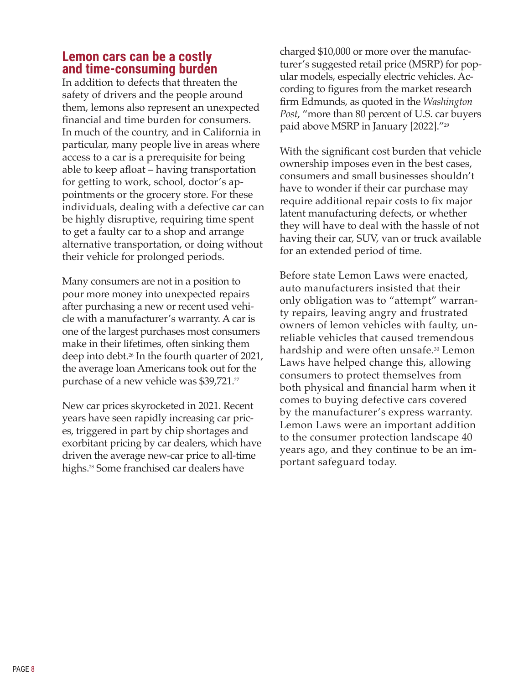# **Lemon cars can be a costly and time-consuming burden**

In addition to defects that threaten the safety of drivers and the people around them, lemons also represent an unexpected financial and time burden for consumers. In much of the country, and in California in particular, many people live in areas where access to a car is a prerequisite for being able to keep afloat – having transportation for getting to work, school, doctor's appointments or the grocery store. For these individuals, dealing with a defective car can be highly disruptive, requiring time spent to get a faulty car to a shop and arrange alternative transportation, or doing without their vehicle for prolonged periods.

Many consumers are not in a position to pour more money into unexpected repairs after purchasing a new or recent used vehicle with a manufacturer's warranty. A car is one of the largest purchases most consumers make in their lifetimes, often sinking them deep into debt.26 In the fourth quarter of 2021, the average loan Americans took out for the purchase of a new vehicle was \$39,721.27

New car prices skyrocketed in 2021. Recent years have seen rapidly increasing car prices, triggered in part by chip shortages and exorbitant pricing by car dealers, which have driven the average new-car price to all-time highs.<sup>28</sup> Some franchised car dealers have

charged \$10,000 or more over the manufacturer's suggested retail price (MSRP) for popular models, especially electric vehicles. According to figures from the market research firm Edmunds, as quoted in the *Washington Post*, "more than 80 percent of U.S. car buyers paid above MSRP in January [2022]."<sup>29</sup>

With the significant cost burden that vehicle ownership imposes even in the best cases, consumers and small businesses shouldn't have to wonder if their car purchase may require additional repair costs to fix major latent manufacturing defects, or whether they will have to deal with the hassle of not having their car, SUV, van or truck available for an extended period of time.

Before state Lemon Laws were enacted, auto manufacturers insisted that their only obligation was to "attempt" warranty repairs, leaving angry and frustrated owners of lemon vehicles with faulty, unreliable vehicles that caused tremendous hardship and were often unsafe.<sup>30</sup> Lemon Laws have helped change this, allowing consumers to protect themselves from both physical and financial harm when it comes to buying defective cars covered by the manufacturer's express warranty. Lemon Laws were an important addition to the consumer protection landscape 40 years ago, and they continue to be an important safeguard today.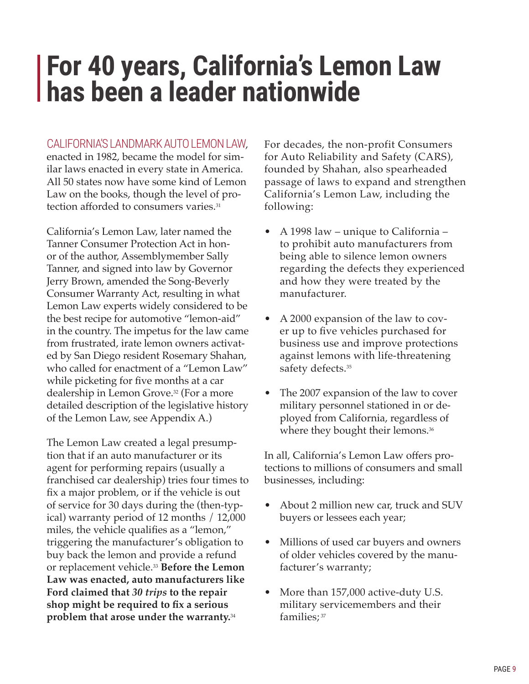# <span id="page-12-0"></span>**For 40 years, California's Lemon Law has been a leader nationwide**

#### CALIFORNIA'S LANDMARK AUTO LEMON LAW,

enacted in 1982, became the model for similar laws enacted in every state in America. All 50 states now have some kind of Lemon Law on the books, though the level of protection afforded to consumers varies.<sup>31</sup>

California's Lemon Law, later named the Tanner Consumer Protection Act in honor of the author, Assemblymember Sally Tanner, and signed into law by Governor Jerry Brown, amended the Song-Beverly Consumer Warranty Act, resulting in what Lemon Law experts widely considered to be the best recipe for automotive "lemon-aid" in the country. The impetus for the law came from frustrated, irate lemon owners activated by San Diego resident Rosemary Shahan, who called for enactment of a "Lemon Law" while picketing for five months at a car dealership in Lemon Grove.32 (For a more detailed description of the legislative history of the Lemon Law, see Appendix A.)

The Lemon Law created a legal presumption that if an auto manufacturer or its agent for performing repairs (usually a franchised car dealership) tries four times to fix a major problem, or if the vehicle is out of service for 30 days during the (then-typical) warranty period of 12 months / 12,000 miles, the vehicle qualifies as a "lemon," triggering the manufacturer's obligation to buy back the lemon and provide a refund or replacement vehicle.33 **Before the Lemon Law was enacted, auto manufacturers like Ford claimed that** *30 trips* **to the repair shop might be required to fix a serious problem that arose under the warranty.**<sup>34</sup>

For decades, the non-profit Consumers for Auto Reliability and Safety (CARS), founded by Shahan, also spearheaded passage of laws to expand and strengthen California's Lemon Law, including the following:

- A 1998 law unique to California to prohibit auto manufacturers from being able to silence lemon owners regarding the defects they experienced and how they were treated by the manufacturer.
- A 2000 expansion of the law to cover up to five vehicles purchased for business use and improve protections against lemons with life-threatening safety defects.<sup>35</sup>
- The 2007 expansion of the law to cover military personnel stationed in or deployed from California, regardless of where they bought their lemons.<sup>36</sup>

In all, California's Lemon Law offers protections to millions of consumers and small businesses, including:

- About 2 million new car, truck and SUV buyers or lessees each year;
- Millions of used car buyers and owners of older vehicles covered by the manufacturer's warranty;
- More than 157,000 active-duty U.S. military servicemembers and their families; 37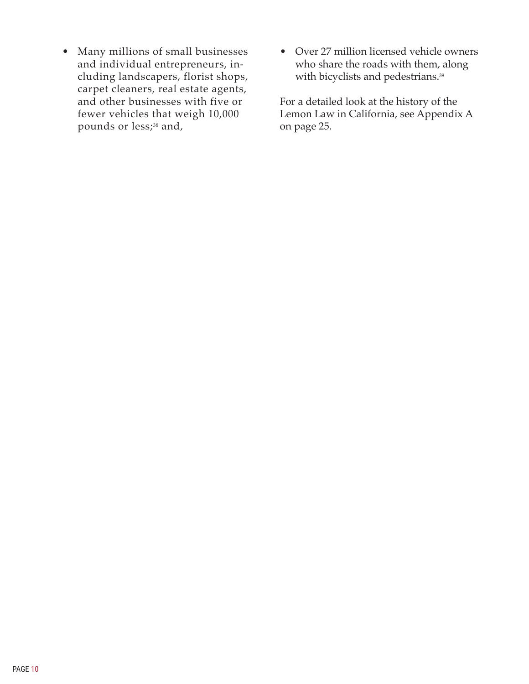- Many millions of small businesses and individual entrepreneurs, including landscapers, florist shops, carpet cleaners, real estate agents, and other businesses with five or fewer vehicles that weigh 10,000 pounds or less;<sup>38</sup> and,
- Over 27 million licensed vehicle owners who share the roads with them, along with bicyclists and pedestrians.<sup>39</sup>

For a detailed look at the history of the Lemon Law in California, see Appendix A on page 25.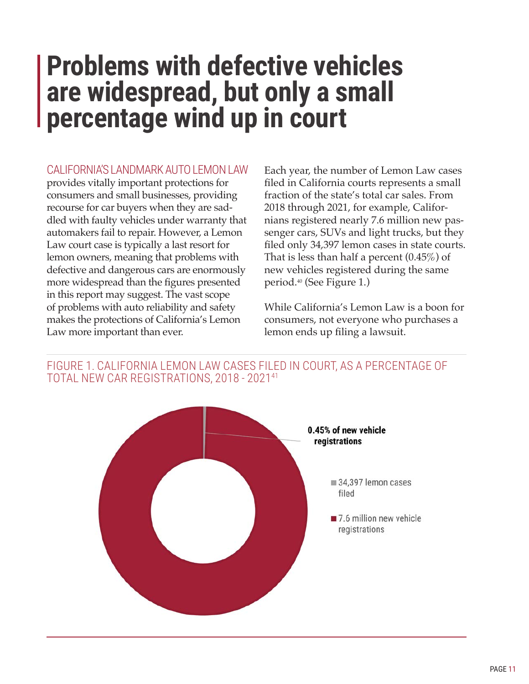# <span id="page-14-0"></span>**Problems with defective vehicles are widespread, but only a small percentage wind up in court**

## CALIFORNIA'S LANDMARK AUTO LEMON LAW

provides vitally important protections for consumers and small businesses, providing recourse for car buyers when they are saddled with faulty vehicles under warranty that automakers fail to repair. However, a Lemon Law court case is typically a last resort for lemon owners, meaning that problems with defective and dangerous cars are enormously more widespread than the figures presented in this report may suggest. The vast scope of problems with auto reliability and safety makes the protections of California's Lemon Law more important than ever.

Each year, the number of Lemon Law cases filed in California courts represents a small fraction of the state's total car sales. From 2018 through 2021, for example, Californians registered nearly 7.6 million new passenger cars, SUVs and light trucks, but they filed only 34,397 lemon cases in state courts. That is less than half a percent (0.45%) of new vehicles registered during the same period.40 (See Figure 1.)

While California's Lemon Law is a boon for consumers, not everyone who purchases a lemon ends up filing a lawsuit.



FIGURE 1. CALIFORNIA LEMON LAW CASES FILED IN COURT, AS A PERCENTAGE OF TOTAL NEW CAR REGISTRATIONS, 2018 - 202141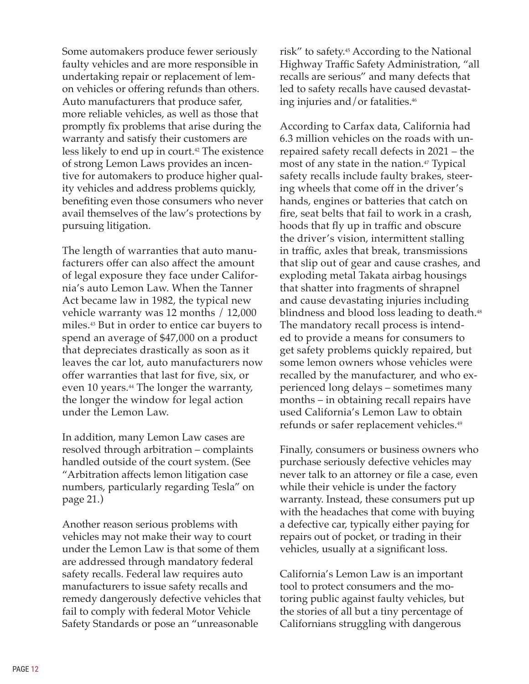Some automakers produce fewer seriously faulty vehicles and are more responsible in undertaking repair or replacement of lemon vehicles or offering refunds than others. Auto manufacturers that produce safer, more reliable vehicles, as well as those that promptly fix problems that arise during the warranty and satisfy their customers are less likely to end up in court.<sup>42</sup> The existence of strong Lemon Laws provides an incentive for automakers to produce higher quality vehicles and address problems quickly, benefiting even those consumers who never avail themselves of the law's protections by pursuing litigation.

The length of warranties that auto manufacturers offer can also affect the amount of legal exposure they face under California's auto Lemon Law. When the Tanner Act became law in 1982, the typical new vehicle warranty was 12 months / 12,000 miles.43 But in order to entice car buyers to spend an average of \$47,000 on a product that depreciates drastically as soon as it leaves the car lot, auto manufacturers now offer warranties that last for five, six, or even 10 years.<sup>44</sup> The longer the warranty, the longer the window for legal action under the Lemon Law.

In addition, many Lemon Law cases are resolved through arbitration – complaints handled outside of the court system. (See "Arbitration affects lemon litigation case numbers, particularly regarding Tesla" on page 21.)

Another reason serious problems with vehicles may not make their way to court under the Lemon Law is that some of them are addressed through mandatory federal safety recalls. Federal law requires auto manufacturers to issue safety recalls and remedy dangerously defective vehicles that fail to comply with federal Motor Vehicle Safety Standards or pose an "unreasonable

risk" to safety.45 According to the National Highway Traffic Safety Administration, "all recalls are serious" and many defects that led to safety recalls have caused devastating injuries and/or fatalities.46

According to Carfax data, California had 6.3 million vehicles on the roads with unrepaired safety recall defects in 2021 – the most of any state in the nation.<sup>47</sup> Typical safety recalls include faulty brakes, steering wheels that come off in the driver's hands, engines or batteries that catch on fire, seat belts that fail to work in a crash, hoods that fly up in traffic and obscure the driver's vision, intermittent stalling in traffic, axles that break, transmissions that slip out of gear and cause crashes, and exploding metal Takata airbag housings that shatter into fragments of shrapnel and cause devastating injuries including blindness and blood loss leading to death.<sup>48</sup> The mandatory recall process is intended to provide a means for consumers to get safety problems quickly repaired, but some lemon owners whose vehicles were recalled by the manufacturer, and who experienced long delays – sometimes many months – in obtaining recall repairs have used California's Lemon Law to obtain refunds or safer replacement vehicles.<sup>49</sup>

Finally, consumers or business owners who purchase seriously defective vehicles may never talk to an attorney or file a case, even while their vehicle is under the factory warranty. Instead, these consumers put up with the headaches that come with buying a defective car, typically either paying for repairs out of pocket, or trading in their vehicles, usually at a significant loss.

California's Lemon Law is an important tool to protect consumers and the motoring public against faulty vehicles, but the stories of all but a tiny percentage of Californians struggling with dangerous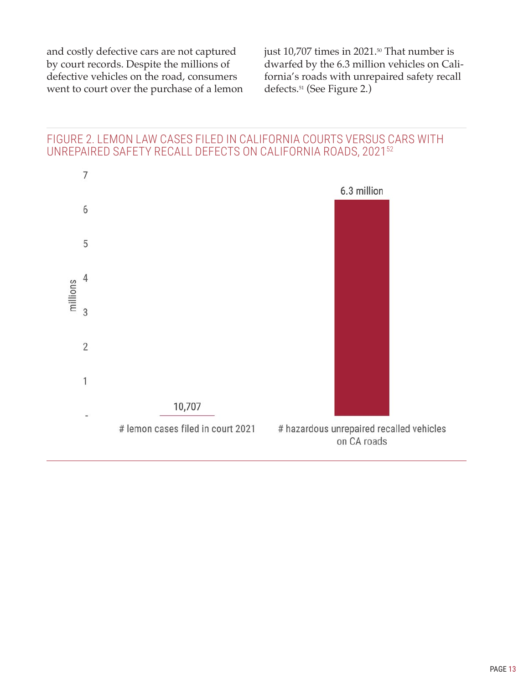and costly defective cars are not captured by court records. Despite the millions of defective vehicles on the road, consumers went to court over the purchase of a lemon

just 10,707 times in 2021.<sup>50</sup> That number is dwarfed by the 6.3 million vehicles on California's roads with unrepaired safety recall defects.51 (See Figure 2.)

### FIGURE 2. LEMON LAW CASES FILED IN CALIFORNIA COURTS VERSUS CARS WITH UNREPAIRED SAFETY RECALL DEFECTS ON CALIFORNIA ROADS, 202152

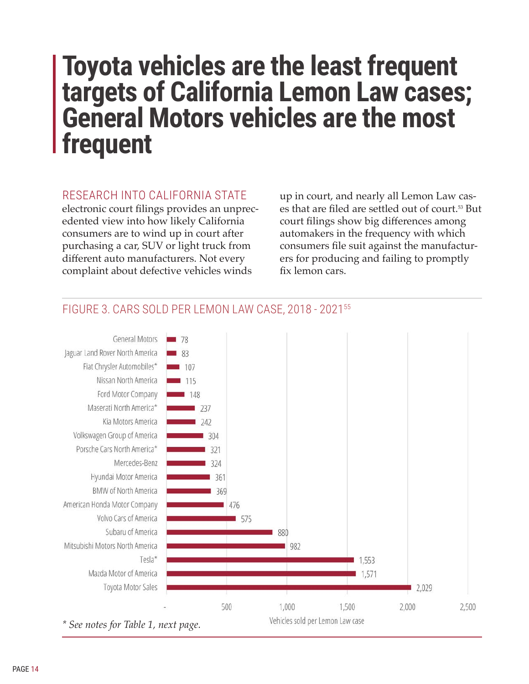# <span id="page-17-0"></span>**Toyota vehicles are the least frequent targets of California Lemon Law cases; General Motors vehicles are the most frequent**

### RESEARCH INTO CALIFORNIA STATE

electronic court filings provides an unprecedented view into how likely California consumers are to wind up in court after purchasing a car, SUV or light truck from different auto manufacturers. Not every complaint about defective vehicles winds

up in court, and nearly all Lemon Law cases that are filed are settled out of court.<sup>53</sup> But court filings show big differences among automakers in the frequency with which consumers file suit against the manufacturers for producing and failing to promptly fix lemon cars.



# FIGURE 3. CARS SOLD PER LEMON LAW CASE, 2018 - 202155

*\* See notes for Table 1, next page.*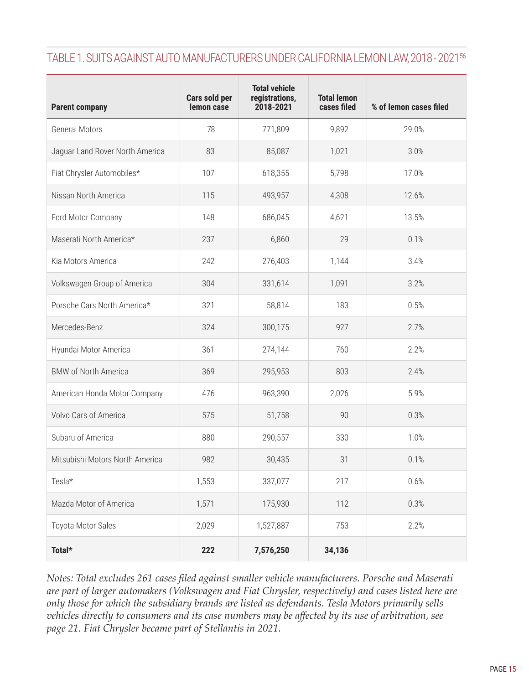# TABLE 1. SUITS AGAINST AUTO MANUFACTURERS UNDER CALIFORNIA LEMON LAW, 2018 - 202156

| <b>Parent company</b>           | Cars sold per<br>lemon case | <b>Total vehicle</b><br>registrations,<br>2018-2021 | <b>Total lemon</b><br>cases filed | % of lemon cases filed |
|---------------------------------|-----------------------------|-----------------------------------------------------|-----------------------------------|------------------------|
| <b>General Motors</b>           | 78                          | 771,809                                             | 9,892                             | 29.0%                  |
| Jaguar Land Rover North America | 83                          | 85,087                                              | 1,021                             | 3.0%                   |
| Fiat Chrysler Automobiles*      | 107                         | 618,355                                             | 5,798                             | 17.0%                  |
| Nissan North America            | 115                         | 493,957                                             | 4,308                             | 12.6%                  |
| Ford Motor Company              | 148                         | 686,045                                             | 4,621                             | 13.5%                  |
| Maserati North America*         | 237                         | 6,860                                               | 29                                | 0.1%                   |
| Kia Motors America              | 242                         | 276,403                                             | 1,144                             | 3.4%                   |
| Volkswagen Group of America     | 304                         | 331,614                                             | 1,091                             | 3.2%                   |
| Porsche Cars North America*     | 321                         | 58,814                                              | 183                               | 0.5%                   |
| Mercedes-Benz                   | 324                         | 300,175                                             | 927                               | 2.7%                   |
| Hyundai Motor America           | 361                         | 274,144                                             | 760                               | 2.2%                   |
| <b>BMW of North America</b>     | 369                         | 295,953                                             | 803                               | 2.4%                   |
| American Honda Motor Company    | 476                         | 963,390                                             | 2,026                             | 5.9%                   |
| Volvo Cars of America           | 575                         | 51,758                                              | 90                                | 0.3%                   |
| Subaru of America               | 880                         | 290,557                                             | 330                               | 1.0%                   |
| Mitsubishi Motors North America | 982                         | 30,435                                              | 31                                | 0.1%                   |
| Tesla*                          | 1,553                       | 337,077                                             | 217                               | 0.6%                   |
| Mazda Motor of America          | 1,571                       | 175,930                                             | 112                               | 0.3%                   |
| Toyota Motor Sales              | 2,029                       | 1,527,887                                           | 753                               | 2.2%                   |
| Total*                          | 222                         | 7,576,250                                           | 34,136                            |                        |

*Notes: Total excludes 261 cases filed against smaller vehicle manufacturers. Porsche and Maserati are part of larger automakers (Volkswagen and Fiat Chrysler, respectively) and cases listed here are only those for which the subsidiary brands are listed as defendants. Tesla Motors primarily sells vehicles directly to consumers and its case numbers may be affected by its use of arbitration, see page 21. Fiat Chrysler became part of Stellantis in 2021.*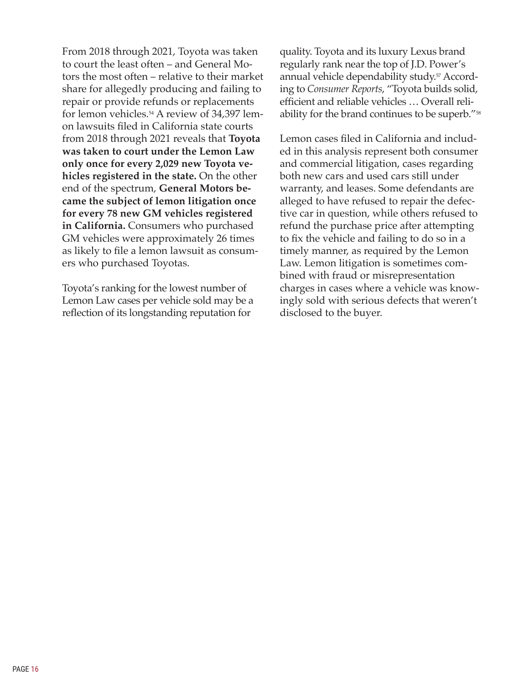From 2018 through 2021, Toyota was taken to court the least often – and General Motors the most often – relative to their market share for allegedly producing and failing to repair or provide refunds or replacements for lemon vehicles.54 A review of 34,397 lemon lawsuits filed in California state courts from 2018 through 2021 reveals that **Toyota was taken to court under the Lemon Law only once for every 2,029 new Toyota vehicles registered in the state.** On the other end of the spectrum, **General Motors became the subject of lemon litigation once for every 78 new GM vehicles registered in California.** Consumers who purchased GM vehicles were approximately 26 times as likely to file a lemon lawsuit as consumers who purchased Toyotas.

Toyota's ranking for the lowest number of Lemon Law cases per vehicle sold may be a reflection of its longstanding reputation for

quality. Toyota and its luxury Lexus brand regularly rank near the top of J.D. Power's annual vehicle dependability study.<sup>57</sup> According to *Consumer Reports*, "Toyota builds solid, efficient and reliable vehicles … Overall reliability for the brand continues to be superb."<sup>58</sup>

Lemon cases filed in California and included in this analysis represent both consumer and commercial litigation, cases regarding both new cars and used cars still under warranty, and leases. Some defendants are alleged to have refused to repair the defective car in question, while others refused to refund the purchase price after attempting to fix the vehicle and failing to do so in a timely manner, as required by the Lemon Law. Lemon litigation is sometimes combined with fraud or misrepresentation charges in cases where a vehicle was knowingly sold with serious defects that weren't disclosed to the buyer.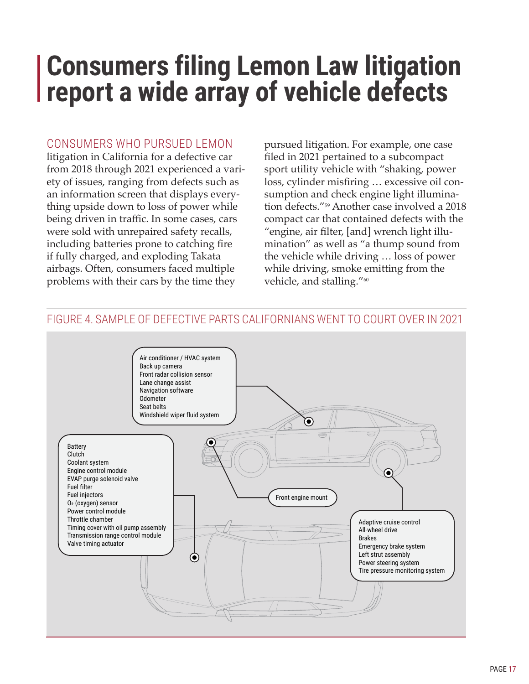# <span id="page-20-0"></span>**Consumers filing Lemon Law litigation report a wide array of vehicle defects**

### CONSUMERS WHO PURSUED LEMON

litigation in California for a defective car from 2018 through 2021 experienced a variety of issues, ranging from defects such as an information screen that displays everything upside down to loss of power while being driven in traffic. In some cases, cars were sold with unrepaired safety recalls, including batteries prone to catching fire if fully charged, and exploding Takata airbags. Often, consumers faced multiple problems with their cars by the time they

pursued litigation. For example, one case filed in 2021 pertained to a subcompact sport utility vehicle with "shaking, power loss, cylinder misfiring … excessive oil consumption and check engine light illumination defects."59 Another case involved a 2018 compact car that contained defects with the "engine, air filter, [and] wrench light illumination" as well as "a thump sound from the vehicle while driving … loss of power while driving, smoke emitting from the vehicle, and stalling."<sup>60</sup>

#### Air conditioner / HVAC system Back up camera Front radar collision sensor Lane change assist Navigation software Odometer Seat belts Windshield wiper fluid system ◉ Battery Clutch Coolant system Engine control module ◉ EVAP purge solenoid valve Fuel filter Fuel injectors Front engine mount O2 (oxygen) sensor Power control module Throttle chamber Adaptive cruise control Timing cover with oil pump assembly All-wheel drive Transmission range control module Brakes Valve timing actuator Emergency brake system Left strut assembly ◉ Power steering system Tire pressure monitoring system

## FIGURE 4. SAMPLE OF DEFECTIVE PARTS CALIFORNIANS WENT TO COURT OVER IN 2021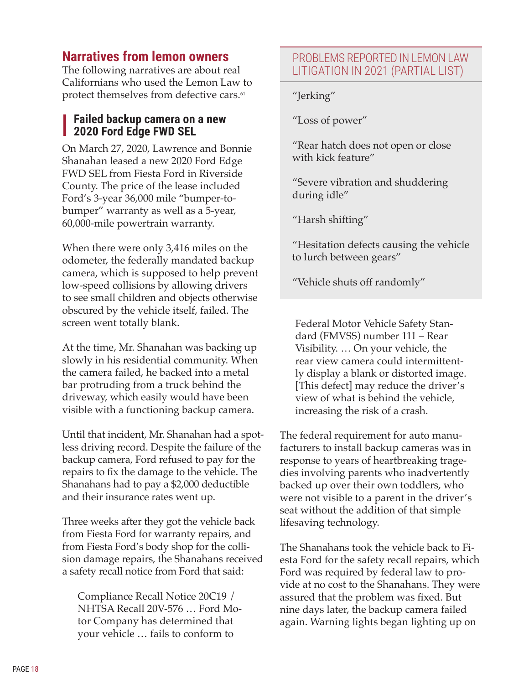# <span id="page-21-0"></span>**Narratives from lemon owners**

The following narratives are about real Californians who used the Lemon Law to protect themselves from defective cars.<sup>61</sup>

### **Failed backup camera on a new 2020 Ford Edge FWD SEL**

On March 27, 2020, Lawrence and Bonnie Shanahan leased a new 2020 Ford Edge FWD SEL from Fiesta Ford in Riverside County. The price of the lease included Ford's 3-year 36,000 mile "bumper-tobumper" warranty as well as a 5-year, 60,000-mile powertrain warranty.

When there were only 3,416 miles on the odometer, the federally mandated backup camera, which is supposed to help prevent low-speed collisions by allowing drivers to see small children and objects otherwise obscured by the vehicle itself, failed. The screen went totally blank.

At the time, Mr. Shanahan was backing up slowly in his residential community. When the camera failed, he backed into a metal bar protruding from a truck behind the driveway, which easily would have been visible with a functioning backup camera.

Until that incident, Mr. Shanahan had a spotless driving record. Despite the failure of the backup camera, Ford refused to pay for the repairs to fix the damage to the vehicle. The Shanahans had to pay a \$2,000 deductible and their insurance rates went up.

Three weeks after they got the vehicle back from Fiesta Ford for warranty repairs, and from Fiesta Ford's body shop for the collision damage repairs, the Shanahans received a safety recall notice from Ford that said:

Compliance Recall Notice 20C19 / NHTSA Recall 20V-576 … Ford Motor Company has determined that your vehicle … fails to conform to

# PROBLEMS REPORTED IN LEMON LAW LITIGATION IN 2021 (PARTIAL LIST)

"Jerking"

"Loss of power"

"Rear hatch does not open or close with kick feature"

"Severe vibration and shuddering during idle"

"Harsh shifting"

"Hesitation defects causing the vehicle to lurch between gears"

"Vehicle shuts off randomly"

Federal Motor Vehicle Safety Standard (FMVSS) number 111 – Rear Visibility. … On your vehicle, the rear view camera could intermittently display a blank or distorted image. [This defect] may reduce the driver's view of what is behind the vehicle, increasing the risk of a crash.

The federal requirement for auto manufacturers to install backup cameras was in response to years of heartbreaking tragedies involving parents who inadvertently backed up over their own toddlers, who were not visible to a parent in the driver's seat without the addition of that simple lifesaving technology.

The Shanahans took the vehicle back to Fiesta Ford for the safety recall repairs, which Ford was required by federal law to provide at no cost to the Shanahans. They were assured that the problem was fixed. But nine days later, the backup camera failed again. Warning lights began lighting up on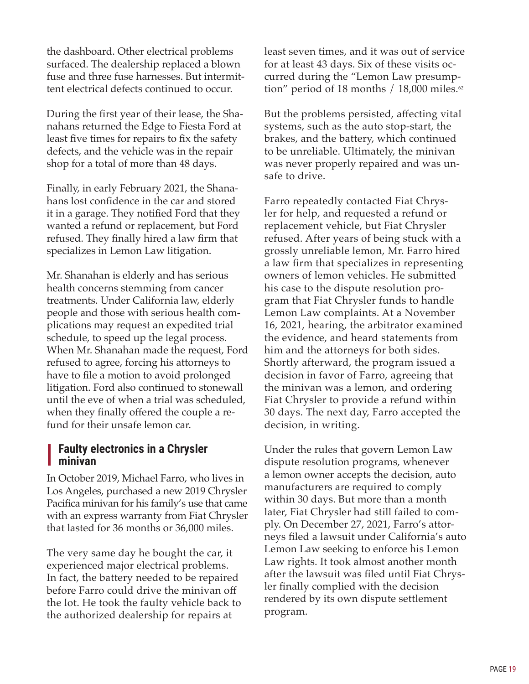the dashboard. Other electrical problems surfaced. The dealership replaced a blown fuse and three fuse harnesses. But intermittent electrical defects continued to occur.

During the first year of their lease, the Shanahans returned the Edge to Fiesta Ford at least five times for repairs to fix the safety defects, and the vehicle was in the repair shop for a total of more than 48 days.

Finally, in early February 2021, the Shanahans lost confidence in the car and stored it in a garage. They notified Ford that they wanted a refund or replacement, but Ford refused. They finally hired a law firm that specializes in Lemon Law litigation.

Mr. Shanahan is elderly and has serious health concerns stemming from cancer treatments. Under California law, elderly people and those with serious health complications may request an expedited trial schedule, to speed up the legal process. When Mr. Shanahan made the request, Ford refused to agree, forcing his attorneys to have to file a motion to avoid prolonged litigation. Ford also continued to stonewall until the eve of when a trial was scheduled, when they finally offered the couple a refund for their unsafe lemon car.

### **Faulty electronics in a Chrysler minivan**

In October 2019, Michael Farro, who lives in Los Angeles, purchased a new 2019 Chrysler Pacifica minivan for his family's use that came with an express warranty from Fiat Chrysler that lasted for 36 months or 36,000 miles.

The very same day he bought the car, it experienced major electrical problems. In fact, the battery needed to be repaired before Farro could drive the minivan off the lot. He took the faulty vehicle back to the authorized dealership for repairs at

least seven times, and it was out of service for at least 43 days. Six of these visits occurred during the "Lemon Law presumption" period of 18 months / 18,000 miles.<sup>62</sup>

But the problems persisted, affecting vital systems, such as the auto stop-start, the brakes, and the battery, which continued to be unreliable. Ultimately, the minivan was never properly repaired and was unsafe to drive.

Farro repeatedly contacted Fiat Chrysler for help, and requested a refund or replacement vehicle, but Fiat Chrysler refused. After years of being stuck with a grossly unreliable lemon, Mr. Farro hired a law firm that specializes in representing owners of lemon vehicles. He submitted his case to the dispute resolution program that Fiat Chrysler funds to handle Lemon Law complaints. At a November 16, 2021, hearing, the arbitrator examined the evidence, and heard statements from him and the attorneys for both sides. Shortly afterward, the program issued a decision in favor of Farro, agreeing that the minivan was a lemon, and ordering Fiat Chrysler to provide a refund within 30 days. The next day, Farro accepted the decision, in writing.

Under the rules that govern Lemon Law dispute resolution programs, whenever a lemon owner accepts the decision, auto manufacturers are required to comply within 30 days. But more than a month later, Fiat Chrysler had still failed to comply. On December 27, 2021, Farro's attorneys filed a lawsuit under California's auto Lemon Law seeking to enforce his Lemon Law rights. It took almost another month after the lawsuit was filed until Fiat Chrysler finally complied with the decision rendered by its own dispute settlement program.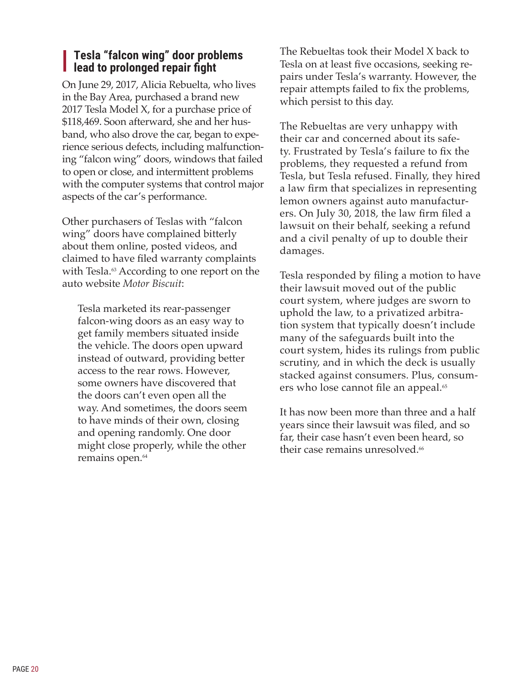## **Tesla "falcon wing" door problems l** lead to prolonged repair fight

On June 29, 2017, Alicia Rebuelta, who lives in the Bay Area, purchased a brand new 2017 Tesla Model X, for a purchase price of \$118,469. Soon afterward, she and her husband, who also drove the car, began to experience serious defects, including malfunctioning "falcon wing" doors, windows that failed to open or close, and intermittent problems with the computer systems that control major aspects of the car's performance.

Other purchasers of Teslas with "falcon wing" doors have complained bitterly about them online, posted videos, and claimed to have filed warranty complaints with Tesla. $\omega$  According to one report on the auto website *Motor Biscuit*:

Tesla marketed its rear-passenger falcon-wing doors as an easy way to get family members situated inside the vehicle. The doors open upward instead of outward, providing better access to the rear rows. However, some owners have discovered that the doors can't even open all the way. And sometimes, the doors seem to have minds of their own, closing and opening randomly. One door might close properly, while the other remains open.<sup>64</sup>

The Rebueltas took their Model X back to Tesla on at least five occasions, seeking repairs under Tesla's warranty. However, the repair attempts failed to fix the problems, which persist to this day.

The Rebueltas are very unhappy with their car and concerned about its safety. Frustrated by Tesla's failure to fix the problems, they requested a refund from Tesla, but Tesla refused. Finally, they hired a law firm that specializes in representing lemon owners against auto manufacturers. On July 30, 2018, the law firm filed a lawsuit on their behalf, seeking a refund and a civil penalty of up to double their damages.

Tesla responded by filing a motion to have their lawsuit moved out of the public court system, where judges are sworn to uphold the law, to a privatized arbitration system that typically doesn't include many of the safeguards built into the court system, hides its rulings from public scrutiny, and in which the deck is usually stacked against consumers. Plus, consumers who lose cannot file an appeal.<sup>65</sup>

It has now been more than three and a half years since their lawsuit was filed, and so far, their case hasn't even been heard, so their case remains unresolved.<sup>66</sup>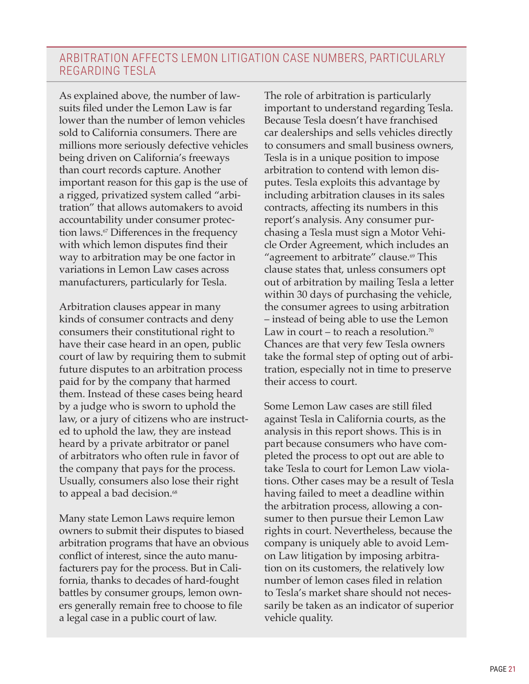# ARBITRATION AFFECTS LEMON LITIGATION CASE NUMBERS, PARTICULARLY REGARDING TESLA

As explained above, the number of lawsuits filed under the Lemon Law is far lower than the number of lemon vehicles sold to California consumers. There are millions more seriously defective vehicles being driven on California's freeways than court records capture. Another important reason for this gap is the use of a rigged, privatized system called "arbitration" that allows automakers to avoid accountability under consumer protection laws.<sup> $\sigma$ </sup> Differences in the frequency with which lemon disputes find their way to arbitration may be one factor in variations in Lemon Law cases across manufacturers, particularly for Tesla.

Arbitration clauses appear in many kinds of consumer contracts and deny consumers their constitutional right to have their case heard in an open, public court of law by requiring them to submit future disputes to an arbitration process paid for by the company that harmed them. Instead of these cases being heard by a judge who is sworn to uphold the law, or a jury of citizens who are instructed to uphold the law, they are instead heard by a private arbitrator or panel of arbitrators who often rule in favor of the company that pays for the process. Usually, consumers also lose their right to appeal a bad decision.<sup>68</sup>

Many state Lemon Laws require lemon owners to submit their disputes to biased arbitration programs that have an obvious conflict of interest, since the auto manufacturers pay for the process. But in California, thanks to decades of hard-fought battles by consumer groups, lemon owners generally remain free to choose to file a legal case in a public court of law.

The role of arbitration is particularly important to understand regarding Tesla. Because Tesla doesn't have franchised car dealerships and sells vehicles directly to consumers and small business owners, Tesla is in a unique position to impose arbitration to contend with lemon disputes. Tesla exploits this advantage by including arbitration clauses in its sales contracts, affecting its numbers in this report's analysis. Any consumer purchasing a Tesla must sign a Motor Vehicle Order Agreement, which includes an "agreement to arbitrate" clause.<sup>69</sup> This clause states that, unless consumers opt out of arbitration by mailing Tesla a letter within 30 days of purchasing the vehicle, the consumer agrees to using arbitration – instead of being able to use the Lemon Law in court – to reach a resolution.<sup>70</sup> Chances are that very few Tesla owners take the formal step of opting out of arbitration, especially not in time to preserve their access to court.

Some Lemon Law cases are still filed against Tesla in California courts, as the analysis in this report shows. This is in part because consumers who have completed the process to opt out are able to take Tesla to court for Lemon Law violations. Other cases may be a result of Tesla having failed to meet a deadline within the arbitration process, allowing a consumer to then pursue their Lemon Law rights in court. Nevertheless, because the company is uniquely able to avoid Lemon Law litigation by imposing arbitration on its customers, the relatively low number of lemon cases filed in relation to Tesla's market share should not necessarily be taken as an indicator of superior vehicle quality.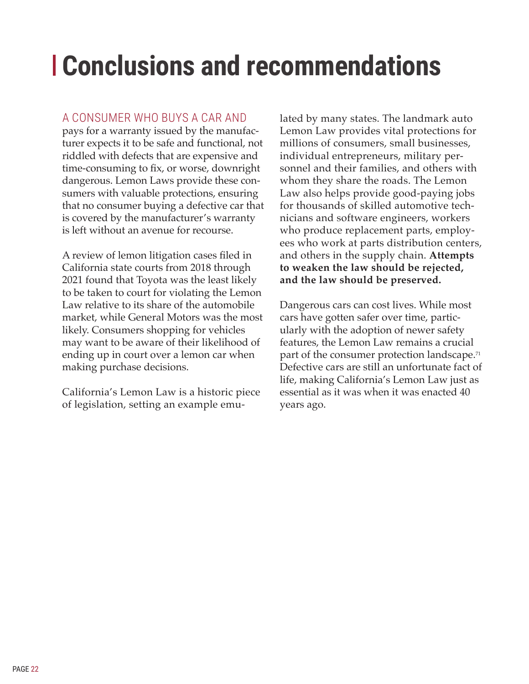# <span id="page-25-0"></span>**Conclusions and recommendations**

## A CONSUMER WHO BUYS A CAR AND

pays for a warranty issued by the manufacturer expects it to be safe and functional, not riddled with defects that are expensive and time-consuming to fix, or worse, downright dangerous. Lemon Laws provide these consumers with valuable protections, ensuring that no consumer buying a defective car that is covered by the manufacturer's warranty is left without an avenue for recourse.

A review of lemon litigation cases filed in California state courts from 2018 through 2021 found that Toyota was the least likely to be taken to court for violating the Lemon Law relative to its share of the automobile market, while General Motors was the most likely. Consumers shopping for vehicles may want to be aware of their likelihood of ending up in court over a lemon car when making purchase decisions.

California's Lemon Law is a historic piece of legislation, setting an example emulated by many states. The landmark auto Lemon Law provides vital protections for millions of consumers, small businesses, individual entrepreneurs, military personnel and their families, and others with whom they share the roads. The Lemon Law also helps provide good-paying jobs for thousands of skilled automotive technicians and software engineers, workers who produce replacement parts, employees who work at parts distribution centers, and others in the supply chain. **Attempts to weaken the law should be rejected, and the law should be preserved.**

Dangerous cars can cost lives. While most cars have gotten safer over time, particularly with the adoption of newer safety features, the Lemon Law remains a crucial part of the consumer protection landscape.<sup>71</sup> Defective cars are still an unfortunate fact of life, making California's Lemon Law just as essential as it was when it was enacted 40 years ago.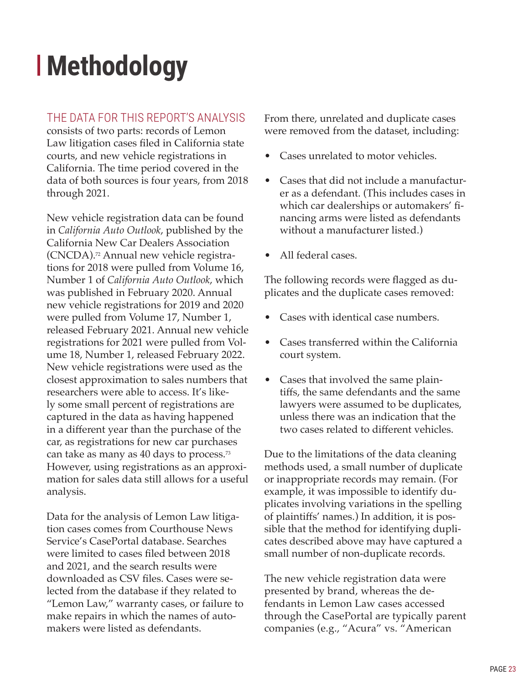# <span id="page-26-0"></span>**Methodology**

# THE DATA FOR THIS REPORT'S ANALYSIS

consists of two parts: records of Lemon Law litigation cases filed in California state courts, and new vehicle registrations in California. The time period covered in the data of both sources is four years, from 2018 through 2021.

New vehicle registration data can be found in *California Auto Outlook*, published by the California New Car Dealers Association (CNCDA).72 Annual new vehicle registrations for 2018 were pulled from Volume 16, Number 1 of *California Auto Outlook*, which was published in February 2020. Annual new vehicle registrations for 2019 and 2020 were pulled from Volume 17, Number 1, released February 2021. Annual new vehicle registrations for 2021 were pulled from Volume 18, Number 1, released February 2022. New vehicle registrations were used as the closest approximation to sales numbers that researchers were able to access. It's likely some small percent of registrations are captured in the data as having happened in a different year than the purchase of the car, as registrations for new car purchases can take as many as 40 days to process.<sup>73</sup> However, using registrations as an approximation for sales data still allows for a useful analysis.

Data for the analysis of Lemon Law litigation cases comes from Courthouse News Service's CasePortal database. Searches were limited to cases filed between 2018 and 2021, and the search results were downloaded as CSV files. Cases were selected from the database if they related to "Lemon Law," warranty cases, or failure to make repairs in which the names of automakers were listed as defendants.

From there, unrelated and duplicate cases were removed from the dataset, including:

- Cases unrelated to motor vehicles.
- Cases that did not include a manufacturer as a defendant. (This includes cases in which car dealerships or automakers' financing arms were listed as defendants without a manufacturer listed.)
- All federal cases.

The following records were flagged as duplicates and the duplicate cases removed:

- Cases with identical case numbers.
- Cases transferred within the California court system.
- Cases that involved the same plaintiffs, the same defendants and the same lawyers were assumed to be duplicates, unless there was an indication that the two cases related to different vehicles.

Due to the limitations of the data cleaning methods used, a small number of duplicate or inappropriate records may remain. (For example, it was impossible to identify duplicates involving variations in the spelling of plaintiffs' names.) In addition, it is possible that the method for identifying duplicates described above may have captured a small number of non-duplicate records.

The new vehicle registration data were presented by brand, whereas the defendants in Lemon Law cases accessed through the CasePortal are typically parent companies (e.g., "Acura" vs. "American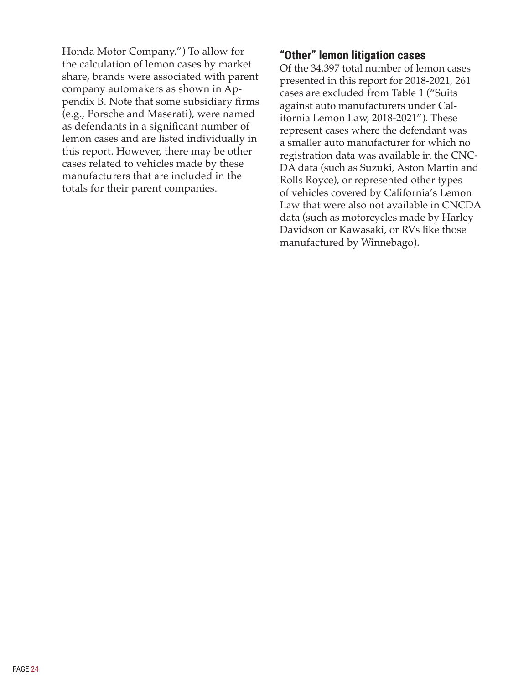Honda Motor Company.") To allow for the calculation of lemon cases by market share, brands were associated with parent company automakers as shown in Appendix B. Note that some subsidiary firms (e.g., Porsche and Maserati), were named as defendants in a significant number of lemon cases and are listed individually in this report. However, there may be other cases related to vehicles made by these manufacturers that are included in the totals for their parent companies.

### **"Other" lemon litigation cases**

Of the 34,397 total number of lemon cases presented in this report for 2018-2021, 261 cases are excluded from Table 1 ("Suits against auto manufacturers under California Lemon Law, 2018-2021"). These represent cases where the defendant was a smaller auto manufacturer for which no registration data was available in the CNC-DA data (such as Suzuki, Aston Martin and Rolls Royce), or represented other types of vehicles covered by California's Lemon Law that were also not available in CNCDA data (such as motorcycles made by Harley Davidson or Kawasaki, or RVs like those manufactured by Winnebago).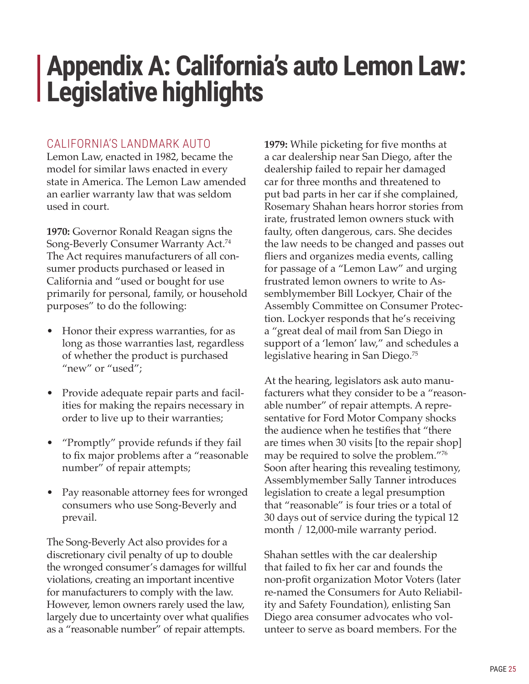# <span id="page-28-0"></span>**Appendix A: California's auto Lemon Law: Legislative highlights**

## CALIFORNIA'S LANDMARK AUTO

Lemon Law, enacted in 1982, became the model for similar laws enacted in every state in America. The Lemon Law amended an earlier warranty law that was seldom used in court.

**1970:** Governor Ronald Reagan signs the Song-Beverly Consumer Warranty Act.<sup>74</sup> The Act requires manufacturers of all consumer products purchased or leased in California and "used or bought for use primarily for personal, family, or household purposes" to do the following:

- Honor their express warranties, for as long as those warranties last, regardless of whether the product is purchased "new" or "used";
- Provide adequate repair parts and facilities for making the repairs necessary in order to live up to their warranties;
- "Promptly" provide refunds if they fail to fix major problems after a "reasonable number" of repair attempts;
- Pay reasonable attorney fees for wronged consumers who use Song-Beverly and prevail.

The Song-Beverly Act also provides for a discretionary civil penalty of up to double the wronged consumer's damages for willful violations, creating an important incentive for manufacturers to comply with the law. However, lemon owners rarely used the law, largely due to uncertainty over what qualifies as a "reasonable number" of repair attempts.

**1979:** While picketing for five months at a car dealership near San Diego, after the dealership failed to repair her damaged car for three months and threatened to put bad parts in her car if she complained, Rosemary Shahan hears horror stories from irate, frustrated lemon owners stuck with faulty, often dangerous, cars. She decides the law needs to be changed and passes out fliers and organizes media events, calling for passage of a "Lemon Law" and urging frustrated lemon owners to write to Assemblymember Bill Lockyer, Chair of the Assembly Committee on Consumer Protection. Lockyer responds that he's receiving a "great deal of mail from San Diego in support of a 'lemon' law," and schedules a legislative hearing in San Diego.<sup>75</sup>

At the hearing, legislators ask auto manufacturers what they consider to be a "reasonable number" of repair attempts. A representative for Ford Motor Company shocks the audience when he testifies that "there are times when 30 visits [to the repair shop] may be required to solve the problem."<sup>76</sup> Soon after hearing this revealing testimony, Assemblymember Sally Tanner introduces legislation to create a legal presumption that "reasonable" is four tries or a total of 30 days out of service during the typical 12 month / 12,000-mile warranty period.

Shahan settles with the car dealership that failed to fix her car and founds the non-profit organization Motor Voters (later re-named the Consumers for Auto Reliability and Safety Foundation), enlisting San Diego area consumer advocates who volunteer to serve as board members. For the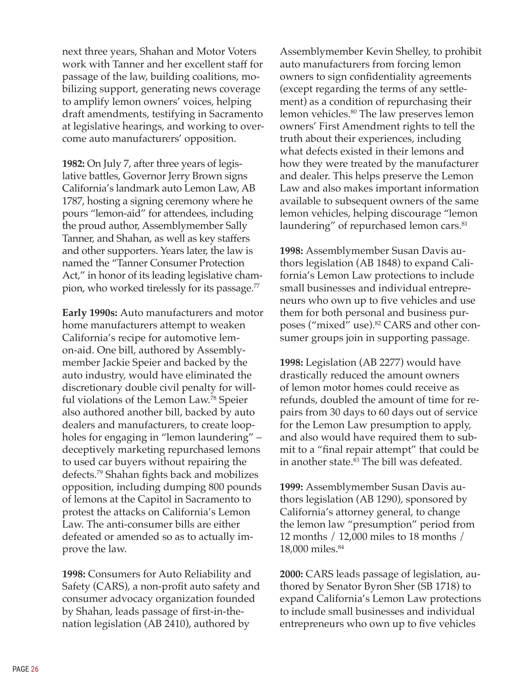next three years, Shahan and Motor Voters work with Tanner and her excellent staff for passage of the law, building coalitions, mobilizing support, generating news coverage to amplify lemon owners' voices, helping draft amendments, testifying in Sacramento at legislative hearings, and working to overcome auto manufacturers' opposition.

**1982:** On July 7, after three years of legislative battles, Governor Jerry Brown signs California's landmark auto Lemon Law, AB 1787, hosting a signing ceremony where he pours "lemon-aid" for attendees, including the proud author, Assemblymember Sally Tanner, and Shahan, as well as key staffers and other supporters. Years later, the law is named the "Tanner Consumer Protection Act," in honor of its leading legislative champion, who worked tirelessly for its passage.<sup>77</sup>

**Early 1990s:** Auto manufacturers and motor home manufacturers attempt to weaken California's recipe for automotive lemon-aid. One bill, authored by Assemblymember Jackie Speier and backed by the auto industry, would have eliminated the discretionary double civil penalty for willful violations of the Lemon Law.<sup>78</sup> Speier also authored another bill, backed by auto dealers and manufacturers, to create loopholes for engaging in "lemon laundering" – deceptively marketing repurchased lemons to used car buyers without repairing the defects.79 Shahan fights back and mobilizes opposition, including dumping 800 pounds of lemons at the Capitol in Sacramento to protest the attacks on California's Lemon Law. The anti-consumer bills are either defeated or amended so as to actually improve the law.

**1998:** Consumers for Auto Reliability and Safety (CARS), a non-profit auto safety and consumer advocacy organization founded by Shahan, leads passage of first-in-thenation legislation (AB 2410), authored by

Assemblymember Kevin Shelley, to prohibit auto manufacturers from forcing lemon owners to sign confidentiality agreements (except regarding the terms of any settlement) as a condition of repurchasing their lemon vehicles.<sup>80</sup> The law preserves lemon owners' First Amendment rights to tell the truth about their experiences, including what defects existed in their lemons and how they were treated by the manufacturer and dealer. This helps preserve the Lemon Law and also makes important information available to subsequent owners of the same lemon vehicles, helping discourage "lemon laundering" of repurchased lemon cars.<sup>81</sup>

**1998:** Assemblymember Susan Davis authors legislation (AB 1848) to expand California's Lemon Law protections to include small businesses and individual entrepreneurs who own up to five vehicles and use them for both personal and business purposes ("mixed" use).<sup>82</sup> CARS and other consumer groups join in supporting passage.

**1998:** Legislation (AB 2277) would have drastically reduced the amount owners of lemon motor homes could receive as refunds, doubled the amount of time for repairs from 30 days to 60 days out of service for the Lemon Law presumption to apply, and also would have required them to submit to a "final repair attempt" that could be in another state.<sup>83</sup> The bill was defeated.

**1999:** Assemblymember Susan Davis authors legislation (AB 1290), sponsored by California's attorney general, to change the lemon law "presumption" period from 12 months / 12,000 miles to 18 months / 18,000 miles.<sup>84</sup>

**2000:** CARS leads passage of legislation, authored by Senator Byron Sher (SB 1718) to expand California's Lemon Law protections to include small businesses and individual entrepreneurs who own up to five vehicles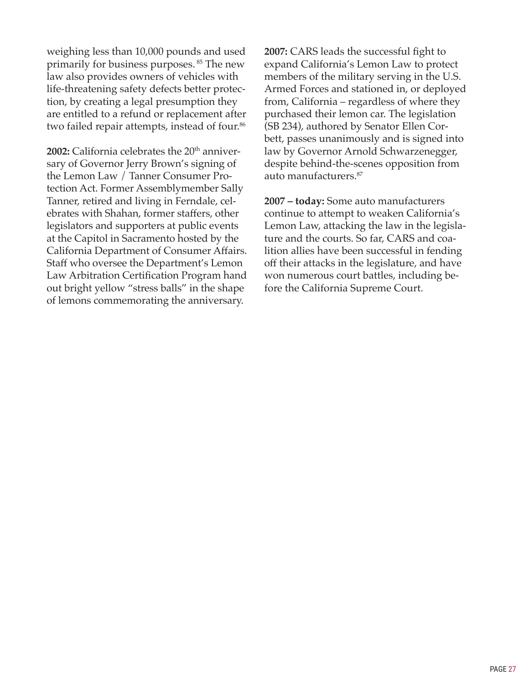weighing less than 10,000 pounds and used primarily for business purposes.<sup>85</sup> The new law also provides owners of vehicles with life-threatening safety defects better protection, by creating a legal presumption they are entitled to a refund or replacement after two failed repair attempts, instead of four.<sup>86</sup>

**2002:** California celebrates the 20<sup>th</sup> anniversary of Governor Jerry Brown's signing of the Lemon Law / Tanner Consumer Protection Act. Former Assemblymember Sally Tanner, retired and living in Ferndale, celebrates with Shahan, former staffers, other legislators and supporters at public events at the Capitol in Sacramento hosted by the California Department of Consumer Affairs. Staff who oversee the Department's Lemon Law Arbitration Certification Program hand out bright yellow "stress balls" in the shape of lemons commemorating the anniversary.

**2007:** CARS leads the successful fight to expand California's Lemon Law to protect members of the military serving in the U.S. Armed Forces and stationed in, or deployed from, California – regardless of where they purchased their lemon car. The legislation (SB 234), authored by Senator Ellen Corbett, passes unanimously and is signed into law by Governor Arnold Schwarzenegger, despite behind-the-scenes opposition from auto manufacturers.<sup>87</sup>

**2007 – today:** Some auto manufacturers continue to attempt to weaken California's Lemon Law, attacking the law in the legislature and the courts. So far, CARS and coalition allies have been successful in fending off their attacks in the legislature, and have won numerous court battles, including before the California Supreme Court.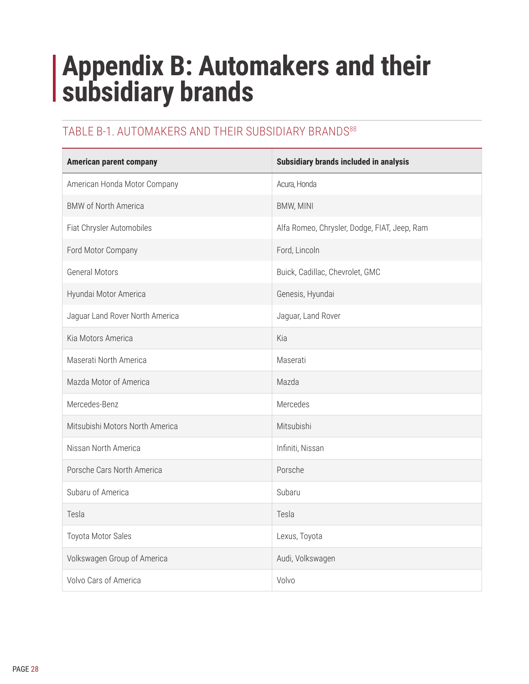# <span id="page-31-0"></span>**Appendix B: Automakers and their subsidiary brands**

# TABLE B-1. AUTOMAKERS AND THEIR SUBSIDIARY BRANDS<sup>88</sup>

| <b>American parent company</b>  | Subsidiary brands included in analysis       |
|---------------------------------|----------------------------------------------|
| American Honda Motor Company    | Acura, Honda                                 |
| <b>BMW of North America</b>     | BMW, MINI                                    |
| Fiat Chrysler Automobiles       | Alfa Romeo, Chrysler, Dodge, FIAT, Jeep, Ram |
| Ford Motor Company              | Ford, Lincoln                                |
| <b>General Motors</b>           | Buick, Cadillac, Chevrolet, GMC              |
| Hyundai Motor America           | Genesis, Hyundai                             |
| Jaguar Land Rover North America | Jaguar, Land Rover                           |
| Kia Motors America              | Kia                                          |
| Maserati North America          | Maserati                                     |
| Mazda Motor of America          | Mazda                                        |
| Mercedes-Benz                   | Mercedes                                     |
| Mitsubishi Motors North America | Mitsubishi                                   |
| Nissan North America            | Infiniti, Nissan                             |
| Porsche Cars North America      | Porsche                                      |
| Subaru of America               | Subaru                                       |
| Tesla                           | Tesla                                        |
| Toyota Motor Sales              | Lexus, Toyota                                |
| Volkswagen Group of America     | Audi, Volkswagen                             |
| Volvo Cars of America           | Volvo                                        |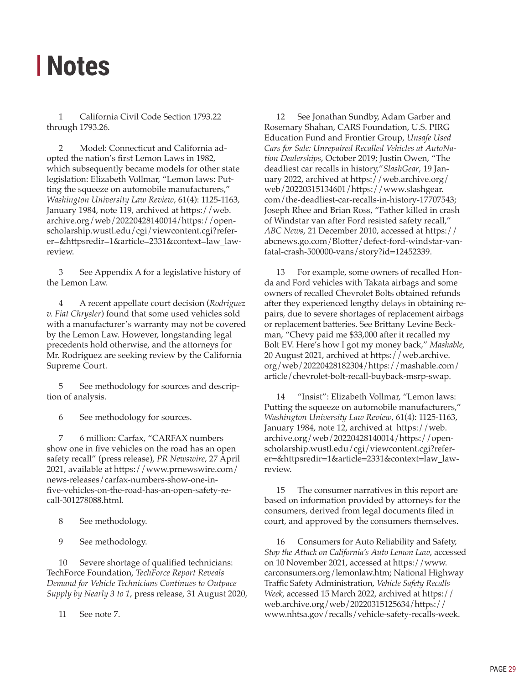# <span id="page-32-0"></span>**Notes**

1 California Civil Code Section 1793.22 through 1793.26.

2 Model: Connecticut and California adopted the nation's first Lemon Laws in 1982, which subsequently became models for other state legislation: Elizabeth Vollmar, "Lemon laws: Putting the squeeze on automobile manufacturers," *Washington University Law Review*, 61(4): 1125-1163, January 1984, note 119, archived at [https://web.](https://web.archive.org/web/20220428140014/https://openscholarship.wustl.edu/cgi/viewcontent.cgi?referer=&httpsredir=1&article=2331&context=law_lawreview) [archive.org/web/20220428140014/https://open](https://web.archive.org/web/20220428140014/https://openscholarship.wustl.edu/cgi/viewcontent.cgi?referer=&httpsredir=1&article=2331&context=law_lawreview)[scholarship.wustl.edu/cgi/viewcontent.cgi?refer](https://web.archive.org/web/20220428140014/https://openscholarship.wustl.edu/cgi/viewcontent.cgi?referer=&httpsredir=1&article=2331&context=law_lawreview)[er=&httpsredir=1&article=2331&context=law\\_law](https://web.archive.org/web/20220428140014/https://openscholarship.wustl.edu/cgi/viewcontent.cgi?referer=&httpsredir=1&article=2331&context=law_lawreview)[review](https://web.archive.org/web/20220428140014/https://openscholarship.wustl.edu/cgi/viewcontent.cgi?referer=&httpsredir=1&article=2331&context=law_lawreview).

3 See Appendix A for a legislative history of the Lemon Law.

4 A recent appellate court decision (*Rodriguez v. Fiat Chrysler*) found that some used vehicles sold with a manufacturer's warranty may not be covered by the Lemon Law. However, longstanding legal precedents hold otherwise, and the attorneys for Mr. Rodriguez are seeking review by the California Supreme Court.

5 See methodology for sources and description of analysis.

6 See methodology for sources.

7 6 million: Carfax, "CARFAX numbers show one in five vehicles on the road has an open safety recall" (press release), *PR Newswire*, 27 April 2021, available at [https://www.prnewswire.com/](https://www.prnewswire.com/news-releases/carfax-numbers-show-one-in-five-vehicles-on-the-road-has-an-open-safety-recall-301278088.html) [news-releases/carfax-numbers-show-one-in](https://www.prnewswire.com/news-releases/carfax-numbers-show-one-in-five-vehicles-on-the-road-has-an-open-safety-recall-301278088.html)[five-vehicles-on-the-road-has-an-open-safety-re](https://www.prnewswire.com/news-releases/carfax-numbers-show-one-in-five-vehicles-on-the-road-has-an-open-safety-recall-301278088.html)[call-301278088.html](https://www.prnewswire.com/news-releases/carfax-numbers-show-one-in-five-vehicles-on-the-road-has-an-open-safety-recall-301278088.html).

8 See methodology.

9 See methodology.

10 Severe shortage of qualified technicians: TechForce Foundation, *TechForce Report Reveals Demand for Vehicle Technicians Continues to Outpace Supply by Nearly 3 to 1*, press release, 31 August 2020,

11 See note 7.

12 See Jonathan Sundby, Adam Garber and Rosemary Shahan, CARS Foundation, U.S. PIRG Education Fund and Frontier Group, *Unsafe Used Cars for Sale: Unrepaired Recalled Vehicles at AutoNation Dealerships*, October 2019; Justin Owen, "The deadliest car recalls in history,"*SlashGear*, 19 January 2022, archived at [https://web.archive.org/](https://web.archive.org/web/20220315134601/https://www.slashgear.com/the-deadliest-car-recalls-in-history-17707543) [web/20220315134601/https://www.slashgear.](https://web.archive.org/web/20220315134601/https://www.slashgear.com/the-deadliest-car-recalls-in-history-17707543) [com/the-deadliest-car-recalls-in-history-17707543](https://web.archive.org/web/20220315134601/https://www.slashgear.com/the-deadliest-car-recalls-in-history-17707543); Joseph Rhee and Brian Ross, "Father killed in crash of Windstar van after Ford resisted safety recall," *ABC News*, 21 December 2010, accessed at [https://](https://abcnews.go.com/Blotter/defect-ford-windstar-van-fatal-crash-500000-vans/story?id=12452339) [abcnews.go.com/Blotter/defect-ford-windstar-van](https://abcnews.go.com/Blotter/defect-ford-windstar-van-fatal-crash-500000-vans/story?id=12452339)[fatal-crash-500000-vans/story?id=12452339](https://abcnews.go.com/Blotter/defect-ford-windstar-van-fatal-crash-500000-vans/story?id=12452339).

13 For example, some owners of recalled Honda and Ford vehicles with Takata airbags and some owners of recalled Chevrolet Bolts obtained refunds after they experienced lengthy delays in obtaining repairs, due to severe shortages of replacement airbags or replacement batteries. See Brittany Levine Beckman, "Chevy paid me \$33,000 after it recalled my Bolt EV. Here's how I got my money back," *Mashable*, 20 August 2021, archived at [https://web.archive.](https://web.archive.org/web/20220428182304/https://mashable.com/article/chevrolet-bolt-recall-buyback-msrp-swap) [org/web/20220428182304/https://mashable.com/](https://web.archive.org/web/20220428182304/https://mashable.com/article/chevrolet-bolt-recall-buyback-msrp-swap) [article/chevrolet-bolt-recall-buyback-msrp-swap.](https://web.archive.org/web/20220428182304/https://mashable.com/article/chevrolet-bolt-recall-buyback-msrp-swap)

14 "Insist": Elizabeth Vollmar, "Lemon laws: Putting the squeeze on automobile manufacturers," *Washington University Law Review*, 61(4): 1125-1163, January 1984, note 12, archived at [https://web.](https://web.archive.org/web/20220428140014/https://openscholarship.wustl.edu/cgi/viewcontent.cgi?referer=&httpsredir=1&article=2331&context=law_lawreview) [archive.org/web/20220428140014/https://open](https://web.archive.org/web/20220428140014/https://openscholarship.wustl.edu/cgi/viewcontent.cgi?referer=&httpsredir=1&article=2331&context=law_lawreview)[scholarship.wustl.edu/cgi/viewcontent.cgi?refer](https://web.archive.org/web/20220428140014/https://openscholarship.wustl.edu/cgi/viewcontent.cgi?referer=&httpsredir=1&article=2331&context=law_lawreview)[er=&httpsredir=1&article=2331&context=law\\_law](https://web.archive.org/web/20220428140014/https://openscholarship.wustl.edu/cgi/viewcontent.cgi?referer=&httpsredir=1&article=2331&context=law_lawreview)[review](https://web.archive.org/web/20220428140014/https://openscholarship.wustl.edu/cgi/viewcontent.cgi?referer=&httpsredir=1&article=2331&context=law_lawreview).

15 The consumer narratives in this report are based on information provided by attorneys for the consumers, derived from legal documents filed in court, and approved by the consumers themselves.

16 Consumers for Auto Reliability and Safety, *Stop the Attack on California's Auto Lemon Law*, accessed on 10 November 2021, accessed at [https://www.](https://www.carconsumers.org/lemonlaw.htm) [carconsumers.org/lemonlaw.htm](https://www.carconsumers.org/lemonlaw.htm); National Highway Traffic Safety Administration, *Vehicle Safety Recalls Week*, accessed 15 March 2022, archived at [https://](https://web.archive.org/web/20220315125634/https://www.nhtsa.gov/recalls/vehicle-safety-recalls-week) [web.archive.org/web/20220315125634/https://](https://web.archive.org/web/20220315125634/https://www.nhtsa.gov/recalls/vehicle-safety-recalls-week) [www.nhtsa.gov/recalls/vehicle-safety-recalls-week](https://web.archive.org/web/20220315125634/https://www.nhtsa.gov/recalls/vehicle-safety-recalls-week).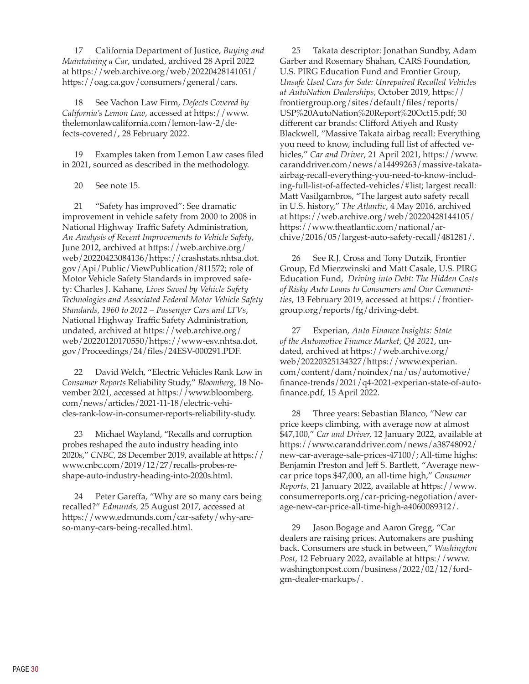17 California Department of Justice, *Buying and Maintaining a Car*, undated, archived 28 April 2022 at [https://web.archive.org/web/20220428141051/](https://web.archive.org/web/20220428141051/https://oag.ca.gov/consumers/general/cars) [https://oag.ca.gov/consumers/general/cars.](https://web.archive.org/web/20220428141051/https://oag.ca.gov/consumers/general/cars)

18 See Vachon Law Firm, *Defects Covered by California's Lemon Law*, accessed at [https://www.](https://www.thelemonlawcalifornia.com/lemon-law-2/defects-covered/) [thelemonlawcalifornia.com/lemon-law-2/de](https://www.thelemonlawcalifornia.com/lemon-law-2/defects-covered/)[fects-covered/](https://www.thelemonlawcalifornia.com/lemon-law-2/defects-covered/), 28 February 2022.

19 Examples taken from Lemon Law cases filed in 2021, sourced as described in the methodology.

20 See note 15.

21 "Safety has improved": See dramatic improvement in vehicle safety from 2000 to 2008 in National Highway Traffic Safety Administration, *An Analysis of Recent Improvements to Vehicle Safety*, June 2012, archived at [https://web.archive.org/](https://web.archive.org/web/20220423084136/https://crashstats.nhtsa.dot.gov/Api/Public/ViewPublication/811572) [web/20220423084136/https://crashstats.nhtsa.dot.](https://web.archive.org/web/20220423084136/https://crashstats.nhtsa.dot.gov/Api/Public/ViewPublication/811572) [gov/Api/Public/ViewPublication/811572](https://web.archive.org/web/20220423084136/https://crashstats.nhtsa.dot.gov/Api/Public/ViewPublication/811572); role of Motor Vehicle Safety Standards in improved safety: Charles J. Kahane, *Lives Saved by Vehicle Safety Technologies and Associated Federal Motor Vehicle Safety Standards, 1960 to 2012 – Passenger Cars and LTVs*, National Highway Traffic Safety Administration, undated, archived at [https://web.archive.org/](https://web.archive.org/web/20220120170550/https://www-esv.nhtsa.dot.gov/Proceedings/24/files/24ESV-000291.PDF) [web/20220120170550/https://www-esv.nhtsa.dot.](https://web.archive.org/web/20220120170550/https://www-esv.nhtsa.dot.gov/Proceedings/24/files/24ESV-000291.PDF) [gov/Proceedings/24/files/24ESV-000291.PDF](https://web.archive.org/web/20220120170550/https://www-esv.nhtsa.dot.gov/Proceedings/24/files/24ESV-000291.PDF).

22 David Welch, "Electric Vehicles Rank Low in *Consumer Reports* Reliability Study," *Bloomberg*, 18 November 2021, accessed at [https://www.bloomberg.](https://www.bloomberg.com/news/articles/2021-11-18/electric-vehicles-rank-low-in-consumer-reports-reliability-study) [com/news/articles/2021-11-18/electric-vehi](https://www.bloomberg.com/news/articles/2021-11-18/electric-vehicles-rank-low-in-consumer-reports-reliability-study)[cles-rank-low-in-consumer-reports-reliability-study.](https://www.bloomberg.com/news/articles/2021-11-18/electric-vehicles-rank-low-in-consumer-reports-reliability-study)

23 Michael Wayland, "Recalls and corruption probes reshaped the auto industry heading into 2020s," *CNBC,* 28 December 2019, available at [https://](https://www.cnbc.com/2019/12/27/recalls-probes-reshape-auto-industry-heading-into-2020s.html) [www.cnbc.com/2019/12/27/recalls-probes-re](https://www.cnbc.com/2019/12/27/recalls-probes-reshape-auto-industry-heading-into-2020s.html)[shape-auto-industry-heading-into-2020s.html.](https://www.cnbc.com/2019/12/27/recalls-probes-reshape-auto-industry-heading-into-2020s.html)

24 Peter Gareffa, "Why are so many cars being recalled?" *Edmunds,* 25 August 2017, accessed at [https://www.edmunds.com/car-safety/why-are](https://www.edmunds.com/car-safety/why-are-so-many-cars-being-recalled.html)[so-many-cars-being-recalled.html.](https://www.edmunds.com/car-safety/why-are-so-many-cars-being-recalled.html)

25 Takata descriptor: Jonathan Sundby, Adam Garber and Rosemary Shahan, CARS Foundation, U.S. PIRG Education Fund and Frontier Group, *Unsafe Used Cars for Sale: Unrepaired Recalled Vehicles at AutoNation Dealerships*, October 2019, [https://](https://frontiergroup.org/sites/default/files/reports/USP%20AutoNation%20Report%20Oct15.pdf) [frontiergroup.org/sites/default/files/reports/](https://frontiergroup.org/sites/default/files/reports/USP%20AutoNation%20Report%20Oct15.pdf) [USP%20AutoNation%20Report%20Oct15.pdf](https://frontiergroup.org/sites/default/files/reports/USP%20AutoNation%20Report%20Oct15.pdf); 30 different car brands: Clifford Atiyeh and Rusty Blackwell, "Massive Takata airbag recall: Everything you need to know, including full list of affected vehicles," *Car and Driver*, 21 April 2021, [https://www.](https://www.caranddriver.com/news/a14499263/massive-takata-airbag-recall-everything-you-need-to-know-including-full-list-of-affected-vehicles/#list) [caranddriver.com/news/a14499263/massive-takata](https://www.caranddriver.com/news/a14499263/massive-takata-airbag-recall-everything-you-need-to-know-including-full-list-of-affected-vehicles/#list)[airbag-recall-everything-you-need-to-know-includ](https://www.caranddriver.com/news/a14499263/massive-takata-airbag-recall-everything-you-need-to-know-including-full-list-of-affected-vehicles/#list)[ing-full-list-of-affected-vehicles/#list](https://www.caranddriver.com/news/a14499263/massive-takata-airbag-recall-everything-you-need-to-know-including-full-list-of-affected-vehicles/#list); largest recall: Matt Vasilgambros, "The largest auto safety recall in U.S. history," *The Atlantic*, 4 May 2016, archived at [https://web.archive.org/web/20220428144105/](https://web.archive.org/web/20220428144105/https://www.theatlantic.com/national/archive/2016/05/largest-auto-safety-recall/481281/) [https://www.theatlantic.com/national/ar](https://web.archive.org/web/20220428144105/https://www.theatlantic.com/national/archive/2016/05/largest-auto-safety-recall/481281/)[chive/2016/05/largest-auto-safety-recall/481281/](https://web.archive.org/web/20220428144105/https://www.theatlantic.com/national/archive/2016/05/largest-auto-safety-recall/481281/).

26 See R.J. Cross and Tony Dutzik, Frontier Group, Ed Mierzwinski and Matt Casale, U.S. PIRG Education Fund, *Driving into Debt: The Hidden Costs of Risky Auto Loans to Consumers and Our Communities*, 13 February 2019, accessed at [https://frontier](https://frontiergroup.org/reports/fg/driving-debt)[group.org/reports/fg/driving-debt.](https://frontiergroup.org/reports/fg/driving-debt)

27 Experian, *Auto Finance Insights: State of the Automotive Finance Market, Q4 2021*, undated, archived at [https://web.archive.org/](https://web.archive.org/web/20220325134327/https://www.experian.com/content/dam/noindex/na/us/automotive/finance-trends/2021/q4-2021-experian-state-of-auto-finance.pdf) [web/20220325134327/https://www.experian.](https://web.archive.org/web/20220325134327/https://www.experian.com/content/dam/noindex/na/us/automotive/finance-trends/2021/q4-2021-experian-state-of-auto-finance.pdf) [com/content/dam/noindex/na/us/automotive/](https://web.archive.org/web/20220325134327/https://www.experian.com/content/dam/noindex/na/us/automotive/finance-trends/2021/q4-2021-experian-state-of-auto-finance.pdf) [finance-trends/2021/q4-2021-experian-state-of-auto](https://web.archive.org/web/20220325134327/https://www.experian.com/content/dam/noindex/na/us/automotive/finance-trends/2021/q4-2021-experian-state-of-auto-finance.pdf)[finance.pdf,](https://web.archive.org/web/20220325134327/https://www.experian.com/content/dam/noindex/na/us/automotive/finance-trends/2021/q4-2021-experian-state-of-auto-finance.pdf) 15 April 2022.

28 Three years: Sebastian Blanco, "New car price keeps climbing, with average now at almost \$47,100," *Car and Driver,* 12 January 2022, available at [https://www.caranddriver.com/news/a38748092/](https://www.caranddriver.com/news/a38748092/new-car-average-sale-prices-47100/) [new-car-average-sale-prices-47100/](https://www.caranddriver.com/news/a38748092/new-car-average-sale-prices-47100/); All-time highs: Benjamin Preston and Jeff S. Bartlett, "Average newcar price tops \$47,000, an all-time high," *Consumer Reports,* 21 January 2022, available at [https://www.](https://www.consumerreports.org/car-pricing-negotiation/average-new-car-price-all-time-high-a4060089312/) [consumerreports.org/car-pricing-negotiation/aver](https://www.consumerreports.org/car-pricing-negotiation/average-new-car-price-all-time-high-a4060089312/)[age-new-car-price-all-time-high-a4060089312/](https://www.consumerreports.org/car-pricing-negotiation/average-new-car-price-all-time-high-a4060089312/).

29 Jason Bogage and Aaron Gregg, "Car dealers are raising prices. Automakers are pushing back. Consumers are stuck in between," *Washington Post*, 12 February 2022, available at [https://www.](https://www.washingtonpost.com/business/2022/02/12/ford-gm-dealer-markups/) [washingtonpost.com/business/2022/02/12/ford](https://www.washingtonpost.com/business/2022/02/12/ford-gm-dealer-markups/)[gm-dealer-markups/](https://www.washingtonpost.com/business/2022/02/12/ford-gm-dealer-markups/).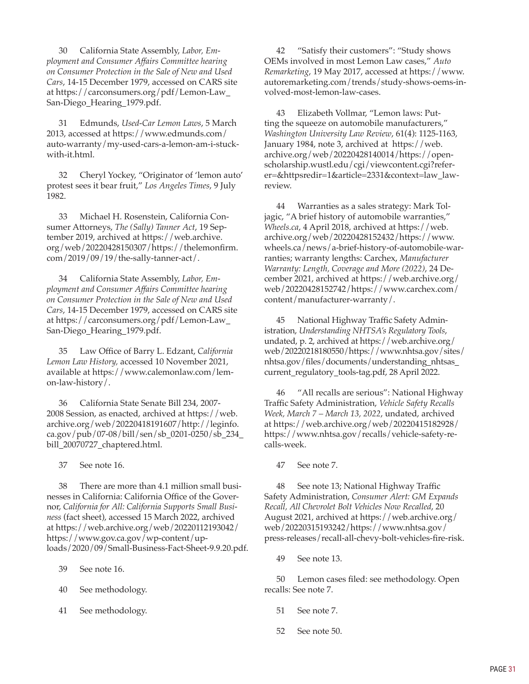30 California State Assembly, *Labor, Employment and Consumer Affairs Committee hearing on Consumer Protection in the Sale of New and Used Cars*, 14-15 December 1979, accessed on CARS site at [https://carconsumers.org/pdf/Lemon-Law\\_](https://carconsumers.org/pdf/Lemon-Law_San-Diego_Hearing_1979.pdf) [San-Diego\\_Hearing\\_1979.pdf](https://carconsumers.org/pdf/Lemon-Law_San-Diego_Hearing_1979.pdf).

31 Edmunds, *Used-Car Lemon Laws*, 5 March 2013, accessed at [https://www.edmunds.com/](https://www.edmunds.com/auto-warranty/my-used-cars-a-lemon-am-i-stuck-with-it.html) [auto-warranty/my-used-cars-a-lemon-am-i-stuck](https://www.edmunds.com/auto-warranty/my-used-cars-a-lemon-am-i-stuck-with-it.html)[with-it.html](https://www.edmunds.com/auto-warranty/my-used-cars-a-lemon-am-i-stuck-with-it.html).

32 Cheryl Yockey, "Originator of 'lemon auto' protest sees it bear fruit," *Los Angeles Times*, 9 July 1982.

33 Michael H. Rosenstein, California Consumer Attorneys, *The (Sally) Tanner Act*, 19 September 2019, archived at [https://web.archive.](https://web.archive.org/web/20220428150307/https://thelemonfirm.com/2019/09/19/the-sally-tanner-act/) [org/web/20220428150307/https://thelemonfirm.](https://web.archive.org/web/20220428150307/https://thelemonfirm.com/2019/09/19/the-sally-tanner-act/) [com/2019/09/19/the-sally-tanner-act/](https://web.archive.org/web/20220428150307/https://thelemonfirm.com/2019/09/19/the-sally-tanner-act/).

34 California State Assembly, *Labor, Employment and Consumer Affairs Committee hearing on Consumer Protection in the Sale of New and Used Cars*, 14-15 December 1979, accessed on CARS site at [https://carconsumers.org/pdf/Lemon-Law\\_](https://carconsumers.org/pdf/Lemon-Law_San-Diego_Hearing_1979.pdf) [San-Diego\\_Hearing\\_1979.pdf](https://carconsumers.org/pdf/Lemon-Law_San-Diego_Hearing_1979.pdf).

35 Law Office of Barry L. Edzant, *California Lemon Law History,* accessed 10 November 2021, available at [https://www.calemonlaw.com/lem](https://www.calemonlaw.com/lemon-law-history/)[on-law-history/](https://www.calemonlaw.com/lemon-law-history/).

36 California State Senate Bill 234, 2007- 2008 Session, as enacted, archived at [https://web.](https://web.archive.org/web/20220418191607/http://leginfo.ca.gov/pub/07-08/bill/sen/sb_0201-0250/sb_234_bill_20070727_chaptered.html) [archive.org/web/20220418191607/http://leginfo.](https://web.archive.org/web/20220418191607/http://leginfo.ca.gov/pub/07-08/bill/sen/sb_0201-0250/sb_234_bill_20070727_chaptered.html) [ca.gov/pub/07-08/bill/sen/sb\\_0201-0250/sb\\_234\\_](https://web.archive.org/web/20220418191607/http://leginfo.ca.gov/pub/07-08/bill/sen/sb_0201-0250/sb_234_bill_20070727_chaptered.html) [bill\\_20070727\\_chaptered.html](https://web.archive.org/web/20220418191607/http://leginfo.ca.gov/pub/07-08/bill/sen/sb_0201-0250/sb_234_bill_20070727_chaptered.html).

37 See note 16.

38 There are more than 4.1 million small businesses in California: California Office of the Governor, *California for All: California Supports Small Business* (fact sheet), accessed 15 March 2022, archived at [https://web.archive.org/web/20220112193042/](https://web.archive.org/web/20220112193042/https://www.gov.ca.gov/wp-content/uploads/2020/09/Small-Business-Fact-Sheet-9.9.20.pdf) [https://www.gov.ca.gov/wp-content/up](https://web.archive.org/web/20220112193042/https://www.gov.ca.gov/wp-content/uploads/2020/09/Small-Business-Fact-Sheet-9.9.20.pdf)[loads/2020/09/Small-Business-Fact-Sheet-9.9.20.pdf](https://web.archive.org/web/20220112193042/https://www.gov.ca.gov/wp-content/uploads/2020/09/Small-Business-Fact-Sheet-9.9.20.pdf).

39 See note 16.

40 See methodology.

41 See methodology.

42 "Satisfy their customers": "Study shows OEMs involved in most Lemon Law cases," *Auto Remarketing*, 19 May 2017, accessed at [https://www.](https://www.autoremarketing.com/trends/study-shows-oems-involved-most-lemon-law-cases) [autoremarketing.com/trends/study-shows-oems-in](https://www.autoremarketing.com/trends/study-shows-oems-involved-most-lemon-law-cases)[volved-most-lemon-law-cases](https://www.autoremarketing.com/trends/study-shows-oems-involved-most-lemon-law-cases).

43 Elizabeth Vollmar, "Lemon laws: Putting the squeeze on automobile manufacturers," *Washington University Law Review*, 61(4): 1125-1163, January 1984, note 3, archived at [https://web.](https://web.archive.org/web/20220428140014/https://openscholarship.wustl.edu/cgi/viewcontent.cgi?referer=&httpsredir=1&article=2331&context=law_lawreview) [archive.org/web/20220428140014/https://open](https://web.archive.org/web/20220428140014/https://openscholarship.wustl.edu/cgi/viewcontent.cgi?referer=&httpsredir=1&article=2331&context=law_lawreview)[scholarship.wustl.edu/cgi/viewcontent.cgi?refer](https://web.archive.org/web/20220428140014/https://openscholarship.wustl.edu/cgi/viewcontent.cgi?referer=&httpsredir=1&article=2331&context=law_lawreview)[er=&httpsredir=1&article=2331&context=law\\_law](https://web.archive.org/web/20220428140014/https://openscholarship.wustl.edu/cgi/viewcontent.cgi?referer=&httpsredir=1&article=2331&context=law_lawreview)[review](https://web.archive.org/web/20220428140014/https://openscholarship.wustl.edu/cgi/viewcontent.cgi?referer=&httpsredir=1&article=2331&context=law_lawreview).

44 Warranties as a sales strategy: Mark Toljagic, "A brief history of automobile warranties," *<Wheels.ca>*, 4 April 2018, archived at [https://web.](https://web.archive.org/web/20220428152432/https://www.wheels.ca/news/a-brief-history-of-automobile-warranties) [archive.org/web/20220428152432/https://www.](https://web.archive.org/web/20220428152432/https://www.wheels.ca/news/a-brief-history-of-automobile-warranties) [wheels.ca/news/a-brief-history-of-automobile-war](https://web.archive.org/web/20220428152432/https://www.wheels.ca/news/a-brief-history-of-automobile-warranties)[ranties;](https://web.archive.org/web/20220428152432/https://www.wheels.ca/news/a-brief-history-of-automobile-warranties) warranty lengths: Carchex, *Manufacturer Warranty: Length, Coverage and More (2022)*, 24 December 2021, archived at [https://web.archive.org/](https://web.archive.org/web/20220428152742/https://www.carchex.com/content/manufacturer-warranty/) [web/20220428152742/https://www.carchex.com/](https://web.archive.org/web/20220428152742/https://www.carchex.com/content/manufacturer-warranty/) [content/manufacturer-warranty/](https://web.archive.org/web/20220428152742/https://www.carchex.com/content/manufacturer-warranty/).

45 National Highway Traffic Safety Administration, *Understanding NHTSA's Regulatory Tools*, undated, p. 2, archived at [https://web.archive.org/](https://web.archive.org/web/20220218180550/https://www.nhtsa.gov/sites/nhtsa.gov/files/documents/understanding_nhtsas_current_regulatory_tools-tag.pdf) [web/20220218180550/https://www.nhtsa.gov/sites/](https://web.archive.org/web/20220218180550/https://www.nhtsa.gov/sites/nhtsa.gov/files/documents/understanding_nhtsas_current_regulatory_tools-tag.pdf) [nhtsa.gov/files/documents/understanding\\_nhtsas\\_](https://web.archive.org/web/20220218180550/https://www.nhtsa.gov/sites/nhtsa.gov/files/documents/understanding_nhtsas_current_regulatory_tools-tag.pdf) [current\\_regulatory\\_tools-tag.pdf,](https://web.archive.org/web/20220218180550/https://www.nhtsa.gov/sites/nhtsa.gov/files/documents/understanding_nhtsas_current_regulatory_tools-tag.pdf) 28 April 2022.

46 "All recalls are serious": National Highway Traffic Safety Administration, *Vehicle Safety Recalls Week, March 7 – March 13, 2022*, undated, archived at [https://web.archive.org/web/20220415182928/](https://web.archive.org/web/20220415182928/https://www.nhtsa.gov/recalls/vehicle-safety-recalls-week) [https://www.nhtsa.gov/recalls/vehicle-safety-re](https://web.archive.org/web/20220415182928/https://www.nhtsa.gov/recalls/vehicle-safety-recalls-week)[calls-week](https://web.archive.org/web/20220415182928/https://www.nhtsa.gov/recalls/vehicle-safety-recalls-week).

47 See note 7.

48 See note 13; National Highway Traffic Safety Administration, *Consumer Alert: GM Expands Recall, All Chevrolet Bolt Vehicles Now Recalled*, 20 August 2021, archived at [https://web.archive.org/](https://web.archive.org/web/20220315193242/https://www.nhtsa.gov/press-releases/recall-all-chevy-bolt-vehicles-fire-risk) [web/20220315193242/https://www.nhtsa.gov/](https://web.archive.org/web/20220315193242/https://www.nhtsa.gov/press-releases/recall-all-chevy-bolt-vehicles-fire-risk) [press-releases/recall-all-chevy-bolt-vehicles-fire-risk](https://web.archive.org/web/20220315193242/https://www.nhtsa.gov/press-releases/recall-all-chevy-bolt-vehicles-fire-risk).

49 See note 13.

50 Lemon cases filed: see methodology. Open recalls: See note 7.

- 51 See note 7.
- 52 See note 50.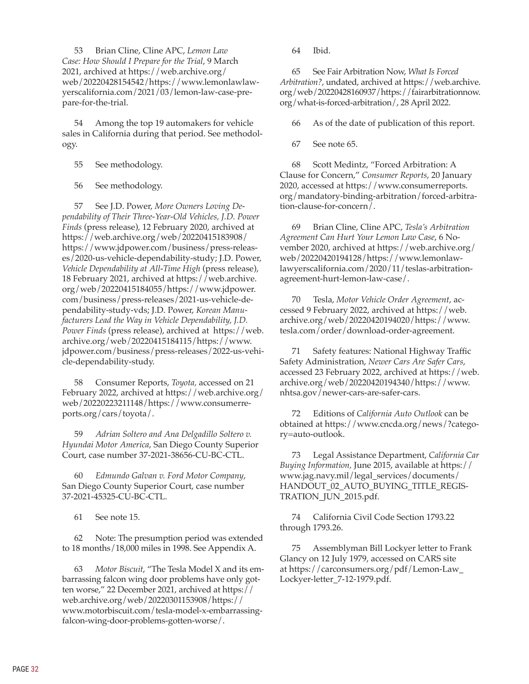53 Brian Cline, Cline APC, *Lemon Law Case: How Should I Prepare for the Trial*, 9 March 2021, archived at [https://web.archive.org/](https://web.archive.org/web/20220428154542/https://www.lemonlawlawyerscalifornia.com/2021/03/lemon-law-case-prepare-for-the-trial) [web/20220428154542/https://www.lemonlawlaw](https://web.archive.org/web/20220428154542/https://www.lemonlawlawyerscalifornia.com/2021/03/lemon-law-case-prepare-for-the-trial)[yerscalifornia.com/2021/03/lemon-law-case-pre](https://web.archive.org/web/20220428154542/https://www.lemonlawlawyerscalifornia.com/2021/03/lemon-law-case-prepare-for-the-trial)[pare-for-the-trial](https://web.archive.org/web/20220428154542/https://www.lemonlawlawyerscalifornia.com/2021/03/lemon-law-case-prepare-for-the-trial).

54 Among the top 19 automakers for vehicle sales in California during that period. See methodology.

- 55 See methodology.
- 56 See methodology.

57 See J.D. Power, *More Owners Loving Dependability of Their Three-Year-Old Vehicles, J.D. Power Finds* (press release), 12 February 2020, archived at [https://web.archive.org/web/20220415183908/](https://web.archive.org/web/20220415183908/https://www.jdpower.com/business/press-releases/2020-us-vehicle-dependability-study) [https://www.jdpower.com/business/press-releas](https://web.archive.org/web/20220415183908/https://www.jdpower.com/business/press-releases/2020-us-vehicle-dependability-study)[es/2020-us-vehicle-dependability-study;](https://web.archive.org/web/20220415183908/https://www.jdpower.com/business/press-releases/2020-us-vehicle-dependability-study) J.D. Power, *Vehicle Dependability at All-Time High* (press release), 18 February 2021, archived at [https://web.archive.](https://web.archive.org/web/20220415184055/https://www.jdpower.com/business/press-releases/2021-us-vehicle-dependability-study-vds) [org/web/20220415184055/https://www.jdpower.](https://web.archive.org/web/20220415184055/https://www.jdpower.com/business/press-releases/2021-us-vehicle-dependability-study-vds) [com/business/press-releases/2021-us-vehicle-de](https://web.archive.org/web/20220415184055/https://www.jdpower.com/business/press-releases/2021-us-vehicle-dependability-study-vds)[pendability-study-vds;](https://web.archive.org/web/20220415184055/https://www.jdpower.com/business/press-releases/2021-us-vehicle-dependability-study-vds) J.D. Power, *Korean Manufacturers Lead the Way in Vehicle Dependability, J.D. Power Finds* (press release), archived at [https://web.](https://web.archive.org/web/20220415184115/https://www.jdpower.com/business/press-releases/2022-us-vehicle-dependability-study) [archive.org/web/20220415184115/https://www.](https://web.archive.org/web/20220415184115/https://www.jdpower.com/business/press-releases/2022-us-vehicle-dependability-study) [jdpower.com/business/press-releases/2022-us-vehi](https://web.archive.org/web/20220415184115/https://www.jdpower.com/business/press-releases/2022-us-vehicle-dependability-study)[cle-dependability-study.](https://web.archive.org/web/20220415184115/https://www.jdpower.com/business/press-releases/2022-us-vehicle-dependability-study)

58 Consumer Reports, *Toyota,* accessed on 21 February 2022, archived at [https://web.archive.org/](https://web.archive.org/web/20220223211148/https://www.consumerreports.org/cars/toyota/) [web/20220223211148/https://www.consumerre](https://web.archive.org/web/20220223211148/https://www.consumerreports.org/cars/toyota/)[ports.org/cars/toyota/](https://web.archive.org/web/20220223211148/https://www.consumerreports.org/cars/toyota/).

59 *Adrian Soltero and Ana Delgadillo Soltero v. Hyundai Motor America*, San Diego County Superior Court, case number 37-2021-38656-CU-BC-CTL.

60 *Edmundo Galvan v. Ford Motor Company*, San Diego County Superior Court, case number 37-2021-45325-CU-BC-CTL.

61 See note 15.

62 Note: The presumption period was extended to 18 months/18,000 miles in 1998. See Appendix A.

63 *Motor Biscuit*, "The Tesla Model X and its embarrassing falcon wing door problems have only gotten worse," 22 December 2021, archived at [https://](https://web.archive.org/web/20220301153908/https://www.motorbiscuit.com/tesla-model-x-embarrassing-falcon-wing-door-problems-gotten-worse/) [web.archive.org/web/20220301153908/https://](https://web.archive.org/web/20220301153908/https://www.motorbiscuit.com/tesla-model-x-embarrassing-falcon-wing-door-problems-gotten-worse/) [www.motorbiscuit.com/tesla-model-x-embarrassing](https://web.archive.org/web/20220301153908/https://www.motorbiscuit.com/tesla-model-x-embarrassing-falcon-wing-door-problems-gotten-worse/)[falcon-wing-door-problems-gotten-worse/.](https://web.archive.org/web/20220301153908/https://www.motorbiscuit.com/tesla-model-x-embarrassing-falcon-wing-door-problems-gotten-worse/)

64 Ibid.

65 See Fair Arbitration Now, *What Is Forced Arbitration?*, undated, archived at [https://web.archive.](https://web.archive.org/web/20220428160937/https://fairarbitrationnow.org/what-is-forced-arbitration/) [org/web/20220428160937/https://fairarbitrationnow.](https://web.archive.org/web/20220428160937/https://fairarbitrationnow.org/what-is-forced-arbitration/) [org/what-is-forced-arbitration/](https://web.archive.org/web/20220428160937/https://fairarbitrationnow.org/what-is-forced-arbitration/), 28 April 2022.

66 As of the date of publication of this report.

67 See note 65.

68 Scott Medintz, "Forced Arbitration: A Clause for Concern," *Consumer Reports*, 20 January 2020, accessed at [https://www.consumerreports.](https://www.consumerreports.org/mandatory-binding-arbitration/forced-arbitration-clause-for-concern/) [org/mandatory-binding-arbitration/forced-arbitra](https://www.consumerreports.org/mandatory-binding-arbitration/forced-arbitration-clause-for-concern/)[tion-clause-for-concern/](https://www.consumerreports.org/mandatory-binding-arbitration/forced-arbitration-clause-for-concern/).

69 Brian Cline, Cline APC, *Tesla's Arbitration Agreement Can Hurt Your Lemon Law Case*, 6 November 2020, archived at [https://web.archive.org/](https://web.archive.org/web/20220420194128/https://www.lemonlawlawyerscalifornia.com/2020/11/teslas-arbitration-agreement-hurt-lemon-law-case/) [web/20220420194128/https://www.lemonlaw](https://web.archive.org/web/20220420194128/https://www.lemonlawlawyerscalifornia.com/2020/11/teslas-arbitration-agreement-hurt-lemon-law-case/)[lawyerscalifornia.com/2020/11/teslas-arbitration](https://web.archive.org/web/20220420194128/https://www.lemonlawlawyerscalifornia.com/2020/11/teslas-arbitration-agreement-hurt-lemon-law-case/)[agreement-hurt-lemon-law-case/.](https://web.archive.org/web/20220420194128/https://www.lemonlawlawyerscalifornia.com/2020/11/teslas-arbitration-agreement-hurt-lemon-law-case/)

70 Tesla, *Motor Vehicle Order Agreement*, accessed 9 February 2022, archived at [https://web.](https://web.archive.org/web/20220420194020/https://www.tesla.com/order/download-order-agreement) [archive.org/web/20220420194020/https://www.](https://web.archive.org/web/20220420194020/https://www.tesla.com/order/download-order-agreement) [tesla.com/order/download-order-agreement](https://web.archive.org/web/20220420194020/https://www.tesla.com/order/download-order-agreement).

71 Safety features: National Highway Traffic Safety Administration, *Newer Cars Are Safer Cars*, accessed 23 February 2022, archived at [https://web.](https://web.archive.org/web/20220420194340/https://www.nhtsa.gov/newer-cars-are-safer-cars) [archive.org/web/20220420194340/https://www.](https://web.archive.org/web/20220420194340/https://www.nhtsa.gov/newer-cars-are-safer-cars) [nhtsa.gov/newer-cars-are-safer-cars](https://web.archive.org/web/20220420194340/https://www.nhtsa.gov/newer-cars-are-safer-cars).

72 Editions of *California Auto Outlook* can be obtained at [https://www.cncda.org/news/?catego](https://www.cncda.org/news/?category=auto-outlook)[ry=auto-outlook.](https://www.cncda.org/news/?category=auto-outlook)

73 Legal Assistance Department, *California Car Buying Information,* June 2015, available at [https://](https://www.jag.navy.mil/legal_services/documents/HANDOUT_02_AUTO_BUYING_TITLE_REGISTRATION_JUN_2015.pdf) [www.jag.navy.mil/legal\\_services/documents/](https://www.jag.navy.mil/legal_services/documents/HANDOUT_02_AUTO_BUYING_TITLE_REGISTRATION_JUN_2015.pdf) [HANDOUT\\_02\\_AUTO\\_BUYING\\_TITLE\\_REGIS](https://www.jag.navy.mil/legal_services/documents/HANDOUT_02_AUTO_BUYING_TITLE_REGISTRATION_JUN_2015.pdf)-[TRATION\\_JUN\\_2015.pdf](https://www.jag.navy.mil/legal_services/documents/HANDOUT_02_AUTO_BUYING_TITLE_REGISTRATION_JUN_2015.pdf).

74 California Civil Code Section 1793.22 through 1793.26.

75 Assemblyman Bill Lockyer letter to Frank Glancy on 12 July 1979, accessed on CARS site at [https://carconsumers.org/pdf/Lemon-Law\\_](https://carconsumers.org/pdf/Lemon-Law_Lockyer-letter_7-12-1979.pdf) [Lockyer-letter\\_7-12-1979.pdf](https://carconsumers.org/pdf/Lemon-Law_Lockyer-letter_7-12-1979.pdf).